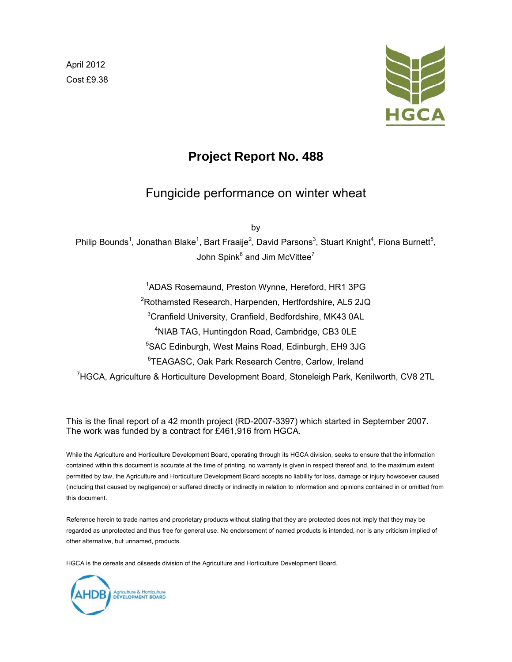April 2012 Cost £9.38



# **Project Report No. 488**

# Fungicide performance on winter wheat

by

Philip Bounds<sup>1</sup>, Jonathan Blake<sup>1</sup>, Bart Fraaije<sup>2</sup>, David Parsons<sup>3</sup>, Stuart Knight<sup>4</sup>, Fiona Burnett<sup>5</sup>, John Spink $^6$  and Jim McVittee $^7$ 

<sup>1</sup>ADAS Rosemaund, Preston Wynne, Hereford, HR1 3PG Rothamsted Research, Harpenden, Hertfordshire, AL5 2JQ Cranfield University, Cranfield, Bedfordshire, MK43 0AL NIAB TAG, Huntingdon Road, Cambridge, CB3 0LE SAC Edinburgh, West Mains Road, Edinburgh, EH9 3JG TEAGASC, Oak Park Research Centre, Carlow, Ireland <sup>7</sup>HGCA, Agriculture & Horticulture Development Board, Stoneleigh Park, Kenilworth, CV8 2TL

This is the final report of a 42 month project (RD-2007-3397) which started in September 2007. The work was funded by a contract for £461,916 from HGCA.

While the Agriculture and Horticulture Development Board, operating through its HGCA division, seeks to ensure that the information contained within this document is accurate at the time of printing, no warranty is given in respect thereof and, to the maximum extent permitted by law, the Agriculture and Horticulture Development Board accepts no liability for loss, damage or injury howsoever caused (including that caused by negligence) or suffered directly or indirectly in relation to information and opinions contained in or omitted from this document.

Reference herein to trade names and proprietary products without stating that they are protected does not imply that they may be regarded as unprotected and thus free for general use. No endorsement of named products is intended, nor is any criticism implied of other alternative, but unnamed, products.

HGCA is the cereals and oilseeds division of the Agriculture and Horticulture Development Board.

Agriculture & Horticulture<br>DEVELOPMENT BOARD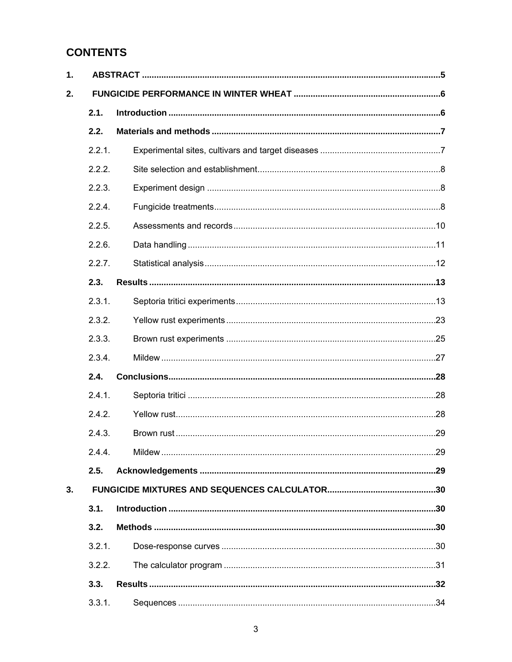# **CONTENTS**

| 1. |        |  |  |  |  |
|----|--------|--|--|--|--|
| 2. |        |  |  |  |  |
|    | 2.1.   |  |  |  |  |
|    | 2.2.   |  |  |  |  |
|    | 2.2.1. |  |  |  |  |
|    | 2.2.2. |  |  |  |  |
|    | 2.2.3. |  |  |  |  |
|    | 2.2.4. |  |  |  |  |
|    | 2.2.5. |  |  |  |  |
|    | 2.2.6. |  |  |  |  |
|    | 2.2.7. |  |  |  |  |
|    | 2.3.   |  |  |  |  |
|    | 2.3.1. |  |  |  |  |
|    | 2.3.2. |  |  |  |  |
|    | 2.3.3. |  |  |  |  |
|    | 2.3.4. |  |  |  |  |
|    | 2.4.   |  |  |  |  |
|    | 2.4.1. |  |  |  |  |
|    | 2.4.2. |  |  |  |  |
|    | 2.4.3. |  |  |  |  |
|    | 2.4.4. |  |  |  |  |
|    | 2.5.   |  |  |  |  |
| 3. |        |  |  |  |  |
|    | 3.1.   |  |  |  |  |
|    | 3.2.   |  |  |  |  |
|    | 3.2.1. |  |  |  |  |
|    | 3.2.2. |  |  |  |  |
|    | 3.3.   |  |  |  |  |
|    | 3.3.1. |  |  |  |  |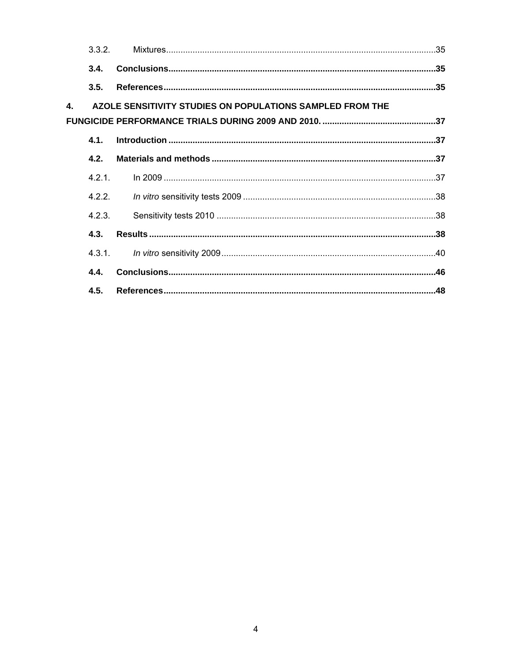|              | 3.3.2.    |                                                           |  |
|--------------|-----------|-----------------------------------------------------------|--|
|              | 3.4.      |                                                           |  |
|              | 3.5.      |                                                           |  |
| $\mathbf{4}$ |           | AZOLE SENSITIVITY STUDIES ON POPULATIONS SAMPLED FROM THE |  |
|              |           |                                                           |  |
|              | <b>41</b> |                                                           |  |
|              | 4.2.      |                                                           |  |
|              | 4 2 1     |                                                           |  |
|              | 4.2.2.    |                                                           |  |
|              | 4.2.3.    |                                                           |  |
|              | 4.3.      |                                                           |  |
|              | 4.3.1.    |                                                           |  |
|              | 4.4.      |                                                           |  |
|              | 4.5.      |                                                           |  |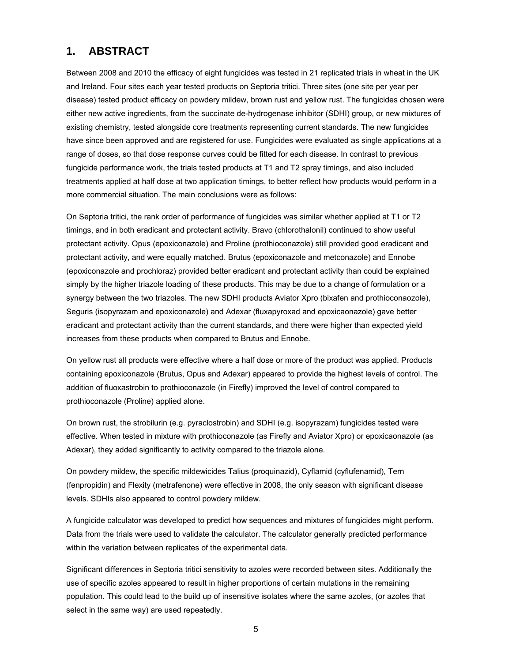# **1. ABSTRACT**

Between 2008 and 2010 the efficacy of eight fungicides was tested in 21 replicated trials in wheat in the UK and Ireland. Four sites each year tested products on Septoria tritici. Three sites (one site per year per disease) tested product efficacy on powdery mildew, brown rust and yellow rust. The fungicides chosen were either new active ingredients, from the succinate de-hydrogenase inhibitor (SDHI) group, or new mixtures of existing chemistry, tested alongside core treatments representing current standards. The new fungicides have since been approved and are registered for use. Fungicides were evaluated as single applications at a range of doses, so that dose response curves could be fitted for each disease. In contrast to previous fungicide performance work, the trials tested products at T1 and T2 spray timings, and also included treatments applied at half dose at two application timings, to better reflect how products would perform in a more commercial situation. The main conclusions were as follows:

On Septoria tritici*,* the rank order of performance of fungicides was similar whether applied at T1 or T2 timings, and in both eradicant and protectant activity. Bravo (chlorothalonil) continued to show useful protectant activity. Opus (epoxiconazole) and Proline (prothioconazole) still provided good eradicant and protectant activity, and were equally matched. Brutus (epoxiconazole and metconazole) and Ennobe (epoxiconazole and prochloraz) provided better eradicant and protectant activity than could be explained simply by the higher triazole loading of these products. This may be due to a change of formulation or a synergy between the two triazoles. The new SDHI products Aviator Xpro (bixafen and prothioconaozole), Seguris (isopyrazam and epoxiconazole) and Adexar (fluxapyroxad and epoxicaonazole) gave better eradicant and protectant activity than the current standards, and there were higher than expected yield increases from these products when compared to Brutus and Ennobe.

On yellow rust all products were effective where a half dose or more of the product was applied. Products containing epoxiconazole (Brutus, Opus and Adexar) appeared to provide the highest levels of control. The addition of fluoxastrobin to prothioconazole (in Firefly) improved the level of control compared to prothioconazole (Proline) applied alone.

On brown rust, the strobilurin (e.g. pyraclostrobin) and SDHI (e.g. isopyrazam) fungicides tested were effective. When tested in mixture with prothioconazole (as Firefly and Aviator Xpro) or epoxicaonazole (as Adexar), they added significantly to activity compared to the triazole alone.

On powdery mildew, the specific mildewicides Talius (proquinazid), Cyflamid (cyflufenamid), Tern (fenpropidin) and Flexity (metrafenone) were effective in 2008, the only season with significant disease levels. SDHIs also appeared to control powdery mildew.

A fungicide calculator was developed to predict how sequences and mixtures of fungicides might perform. Data from the trials were used to validate the calculator. The calculator generally predicted performance within the variation between replicates of the experimental data.

Significant differences in Septoria tritici sensitivity to azoles were recorded between sites. Additionally the use of specific azoles appeared to result in higher proportions of certain mutations in the remaining population. This could lead to the build up of insensitive isolates where the same azoles, (or azoles that select in the same way) are used repeatedly.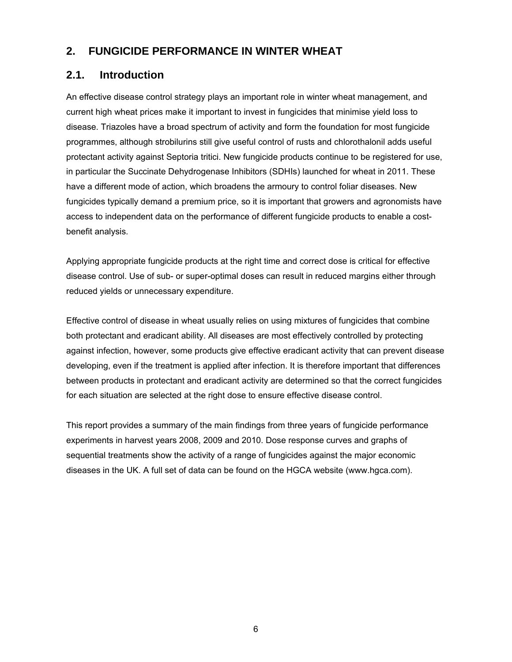# **2. FUNGICIDE PERFORMANCE IN WINTER WHEAT**

# **2.1. Introduction**

An effective disease control strategy plays an important role in winter wheat management, and current high wheat prices make it important to invest in fungicides that minimise yield loss to disease. Triazoles have a broad spectrum of activity and form the foundation for most fungicide programmes, although strobilurins still give useful control of rusts and chlorothalonil adds useful protectant activity against Septoria tritici. New fungicide products continue to be registered for use, in particular the Succinate Dehydrogenase Inhibitors (SDHIs) launched for wheat in 2011. These have a different mode of action, which broadens the armoury to control foliar diseases. New fungicides typically demand a premium price, so it is important that growers and agronomists have access to independent data on the performance of different fungicide products to enable a costbenefit analysis.

Applying appropriate fungicide products at the right time and correct dose is critical for effective disease control. Use of sub- or super-optimal doses can result in reduced margins either through reduced yields or unnecessary expenditure.

Effective control of disease in wheat usually relies on using mixtures of fungicides that combine both protectant and eradicant ability. All diseases are most effectively controlled by protecting against infection, however, some products give effective eradicant activity that can prevent disease developing, even if the treatment is applied after infection. It is therefore important that differences between products in protectant and eradicant activity are determined so that the correct fungicides for each situation are selected at the right dose to ensure effective disease control.

This report provides a summary of the main findings from three years of fungicide performance experiments in harvest years 2008, 2009 and 2010. Dose response curves and graphs of sequential treatments show the activity of a range of fungicides against the major economic diseases in the UK. A full set of data can be found on the HGCA website (www.hgca.com).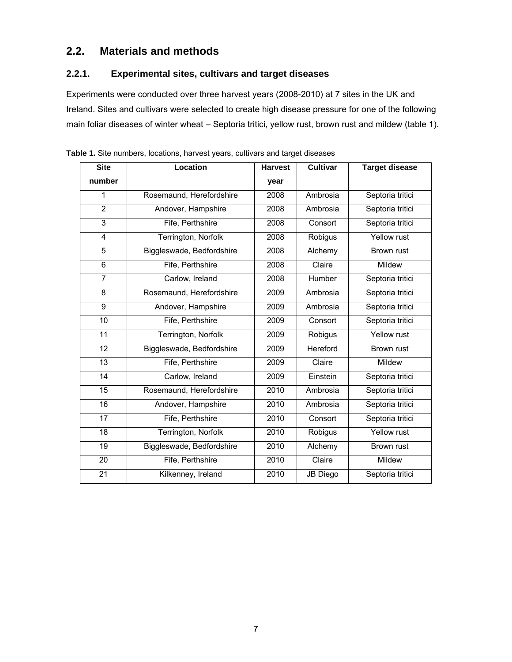# **2.2. Materials and methods**

### **2.2.1. Experimental sites, cultivars and target diseases**

Experiments were conducted over three harvest years (2008-2010) at 7 sites in the UK and Ireland. Sites and cultivars were selected to create high disease pressure for one of the following main foliar diseases of winter wheat – Septoria tritici, yellow rust, brown rust and mildew (table 1).

| Location                  | <b>Harvest</b> | <b>Cultivar</b> | <b>Target disease</b> |
|---------------------------|----------------|-----------------|-----------------------|
|                           | year           |                 |                       |
| Rosemaund, Herefordshire  | 2008           | Ambrosia        | Septoria tritici      |
| Andover, Hampshire        | 2008           | Ambrosia        | Septoria tritici      |
| Fife, Perthshire          | 2008           | Consort         | Septoria tritici      |
| Terrington, Norfolk       | 2008           | Robigus         | Yellow rust           |
| Biggleswade, Bedfordshire | 2008           | Alchemy         | Brown rust            |
| Fife, Perthshire          | 2008           | Claire          | Mildew                |
| Carlow, Ireland           | 2008           | Humber          | Septoria tritici      |
| Rosemaund, Herefordshire  | 2009           | Ambrosia        | Septoria tritici      |
| Andover, Hampshire        | 2009           | Ambrosia        | Septoria tritici      |
| Fife, Perthshire          | 2009           | Consort         | Septoria tritici      |
| Terrington, Norfolk       | 2009           | Robigus         | Yellow rust           |
| Biggleswade, Bedfordshire | 2009           | <b>Hereford</b> | Brown rust            |
| Fife, Perthshire          | 2009           | Claire          | Mildew                |
| Carlow, Ireland           | 2009           | Einstein        | Septoria tritici      |
| Rosemaund, Herefordshire  | 2010           | Ambrosia        | Septoria tritici      |
| Andover, Hampshire        | 2010           | Ambrosia        | Septoria tritici      |
| Fife, Perthshire          | 2010           | Consort         | Septoria tritici      |
| Terrington, Norfolk       | 2010           | Robigus         | Yellow rust           |
| Biggleswade, Bedfordshire | 2010           | Alchemy         | <b>Brown rust</b>     |
| Fife, Perthshire          | 2010           | Claire          | Mildew                |
| Kilkenney, Ireland        | 2010           | <b>JB Diego</b> | Septoria tritici      |
|                           |                |                 |                       |

**Table 1.** Site numbers, locations, harvest years, cultivars and target diseases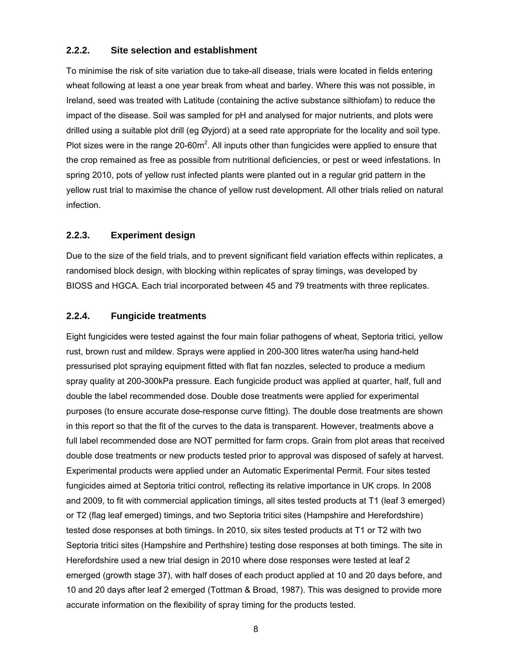### **2.2.2. Site selection and establishment**

To minimise the risk of site variation due to take-all disease, trials were located in fields entering wheat following at least a one year break from wheat and barley. Where this was not possible, in Ireland, seed was treated with Latitude (containing the active substance silthiofam) to reduce the impact of the disease. Soil was sampled for pH and analysed for major nutrients, and plots were drilled using a suitable plot drill (eg Øyjord) at a seed rate appropriate for the locality and soil type. Plot sizes were in the range 20-60 $m^2$ . All inputs other than fungicides were applied to ensure that the crop remained as free as possible from nutritional deficiencies, or pest or weed infestations. In spring 2010, pots of yellow rust infected plants were planted out in a regular grid pattern in the yellow rust trial to maximise the chance of yellow rust development. All other trials relied on natural infection.

### **2.2.3. Experiment design**

Due to the size of the field trials, and to prevent significant field variation effects within replicates, a randomised block design, with blocking within replicates of spray timings, was developed by BIOSS and HGCA. Each trial incorporated between 45 and 79 treatments with three replicates.

### **2.2.4. Fungicide treatments**

Eight fungicides were tested against the four main foliar pathogens of wheat, Septoria tritici*,* yellow rust, brown rust and mildew. Sprays were applied in 200-300 litres water/ha using hand-held pressurised plot spraying equipment fitted with flat fan nozzles, selected to produce a medium spray quality at 200-300kPa pressure. Each fungicide product was applied at quarter, half, full and double the label recommended dose. Double dose treatments were applied for experimental purposes (to ensure accurate dose-response curve fitting). The double dose treatments are shown in this report so that the fit of the curves to the data is transparent. However, treatments above a full label recommended dose are NOT permitted for farm crops. Grain from plot areas that received double dose treatments or new products tested prior to approval was disposed of safely at harvest. Experimental products were applied under an Automatic Experimental Permit. Four sites tested fungicides aimed at Septoria tritici control*,* reflecting its relative importance in UK crops. In 2008 and 2009, to fit with commercial application timings, all sites tested products at T1 (leaf 3 emerged) or T2 (flag leaf emerged) timings, and two Septoria tritici sites (Hampshire and Herefordshire) tested dose responses at both timings. In 2010, six sites tested products at T1 or T2 with two Septoria tritici sites (Hampshire and Perthshire) testing dose responses at both timings. The site in Herefordshire used a new trial design in 2010 where dose responses were tested at leaf 2 emerged (growth stage 37), with half doses of each product applied at 10 and 20 days before, and 10 and 20 days after leaf 2 emerged (Tottman & Broad, 1987). This was designed to provide more accurate information on the flexibility of spray timing for the products tested.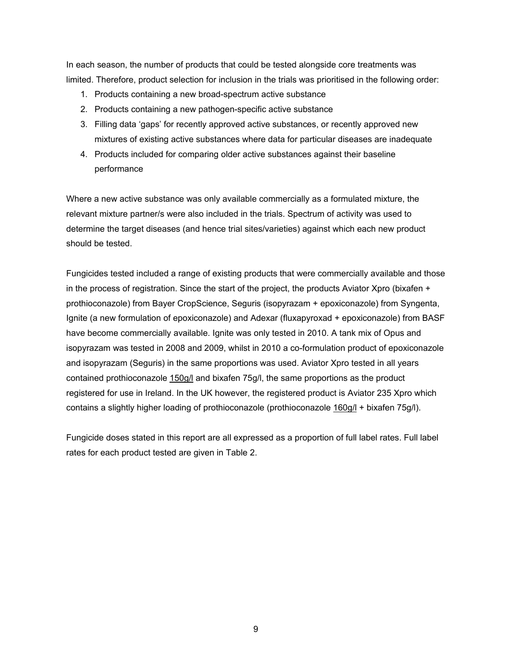In each season, the number of products that could be tested alongside core treatments was limited. Therefore, product selection for inclusion in the trials was prioritised in the following order:

- 1. Products containing a new broad-spectrum active substance
- 2. Products containing a new pathogen-specific active substance
- 3. Filling data 'gaps' for recently approved active substances, or recently approved new mixtures of existing active substances where data for particular diseases are inadequate
- 4. Products included for comparing older active substances against their baseline performance

Where a new active substance was only available commercially as a formulated mixture, the relevant mixture partner/s were also included in the trials. Spectrum of activity was used to determine the target diseases (and hence trial sites/varieties) against which each new product should be tested.

Fungicides tested included a range of existing products that were commercially available and those in the process of registration. Since the start of the project, the products Aviator Xpro (bixafen + prothioconazole) from Bayer CropScience, Seguris (isopyrazam + epoxiconazole) from Syngenta, Ignite (a new formulation of epoxiconazole) and Adexar (fluxapyroxad + epoxiconazole) from BASF have become commercially available. Ignite was only tested in 2010. A tank mix of Opus and isopyrazam was tested in 2008 and 2009, whilst in 2010 a co-formulation product of epoxiconazole and isopyrazam (Seguris) in the same proportions was used. Aviator Xpro tested in all years contained prothioconazole 150g/l and bixafen 75g/l, the same proportions as the product registered for use in Ireland. In the UK however, the registered product is Aviator 235 Xpro which contains a slightly higher loading of prothioconazole (prothioconazole 160g/l + bixafen 75g/l).

Fungicide doses stated in this report are all expressed as a proportion of full label rates. Full label rates for each product tested are given in Table 2.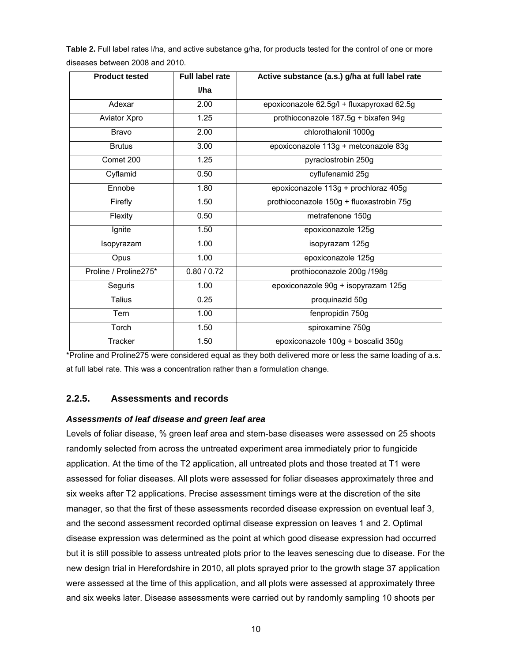**Table 2.** Full label rates l/ha, and active substance g/ha, for products tested for the control of one or more diseases between 2008 and 2010.

| <b>Product tested</b> | <b>Full label rate</b> | Active substance (a.s.) g/ha at full label rate |
|-----------------------|------------------------|-------------------------------------------------|
|                       | l/ha                   |                                                 |
| Adexar                | 2.00                   | epoxiconazole 62.5g/l + fluxapyroxad 62.5g      |
| Aviator Xpro          | 1.25                   | prothioconazole 187.5g + bixafen 94g            |
| <b>Bravo</b>          | 2.00                   | chlorothalonil 1000g                            |
| <b>Brutus</b>         | 3.00                   | epoxiconazole 113g + metconazole 83g            |
| Comet 200             | 1.25                   | pyraclostrobin 250g                             |
| Cyflamid              | 0.50                   | cyflufenamid 25g                                |
| Ennobe                | 1.80                   | epoxiconazole 113g + prochloraz 405g            |
| Firefly               | 1.50                   | prothioconazole 150g + fluoxastrobin 75g        |
| Flexity               | 0.50                   | metrafenone 150g                                |
| Ignite                | 1.50                   | epoxiconazole 125g                              |
| Isopyrazam            | 1.00                   | isopyrazam 125g                                 |
| Opus                  | 1.00                   | epoxiconazole 125g                              |
| Proline / Proline275* | 0.80 / 0.72            | prothioconazole 200g /198g                      |
| Seguris               | 1.00                   | epoxiconazole 90g + isopyrazam 125g             |
| <b>Talius</b>         | 0.25                   | proquinazid 50g                                 |
| Tern                  | 1.00                   | fenpropidin 750g                                |
| Torch                 | 1.50                   | spiroxamine 750g                                |
| Tracker               | 1.50                   | epoxiconazole 100g + boscalid 350g              |

\*Proline and Proline275 were considered equal as they both delivered more or less the same loading of a.s. at full label rate. This was a concentration rather than a formulation change.

#### **2.2.5. Assessments and records**

#### *Assessments of leaf disease and green leaf area*

Levels of foliar disease, % green leaf area and stem-base diseases were assessed on 25 shoots randomly selected from across the untreated experiment area immediately prior to fungicide application. At the time of the T2 application, all untreated plots and those treated at T1 were assessed for foliar diseases. All plots were assessed for foliar diseases approximately three and six weeks after T2 applications. Precise assessment timings were at the discretion of the site manager, so that the first of these assessments recorded disease expression on eventual leaf 3, and the second assessment recorded optimal disease expression on leaves 1 and 2. Optimal disease expression was determined as the point at which good disease expression had occurred but it is still possible to assess untreated plots prior to the leaves senescing due to disease. For the new design trial in Herefordshire in 2010, all plots sprayed prior to the growth stage 37 application were assessed at the time of this application, and all plots were assessed at approximately three and six weeks later. Disease assessments were carried out by randomly sampling 10 shoots per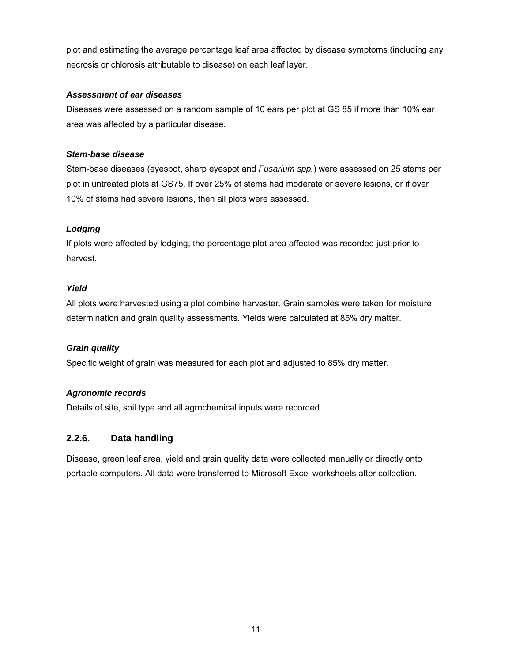plot and estimating the average percentage leaf area affected by disease symptoms (including any necrosis or chlorosis attributable to disease) on each leaf layer.

#### *Assessment of ear diseases*

Diseases were assessed on a random sample of 10 ears per plot at GS 85 if more than 10% ear area was affected by a particular disease.

### *Stem-base disease*

Stem-base diseases (eyespot, sharp eyespot and *Fusarium spp.*) were assessed on 25 stems per plot in untreated plots at GS75. If over 25% of stems had moderate or severe lesions, or if over 10% of stems had severe lesions, then all plots were assessed.

### *Lodging*

If plots were affected by lodging, the percentage plot area affected was recorded just prior to harvest.

### *Yield*

All plots were harvested using a plot combine harvester. Grain samples were taken for moisture determination and grain quality assessments. Yields were calculated at 85% dry matter.

### *Grain quality*

Specific weight of grain was measured for each plot and adjusted to 85% dry matter.

### *Agronomic records*

Details of site, soil type and all agrochemical inputs were recorded.

### **2.2.6. Data handling**

Disease, green leaf area, yield and grain quality data were collected manually or directly onto portable computers. All data were transferred to Microsoft Excel worksheets after collection.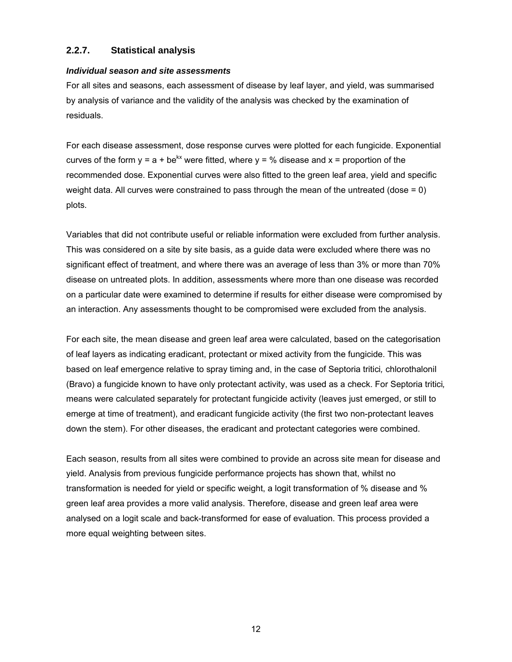### **2.2.7. Statistical analysis**

#### *Individual season and site assessments*

For all sites and seasons, each assessment of disease by leaf layer, and yield, was summarised by analysis of variance and the validity of the analysis was checked by the examination of residuals.

For each disease assessment, dose response curves were plotted for each fungicide. Exponential curves of the form  $y = a + be^{kx}$  were fitted, where  $y = %$  disease and  $x =$  proportion of the recommended dose. Exponential curves were also fitted to the green leaf area, yield and specific weight data. All curves were constrained to pass through the mean of the untreated (dose = 0) plots.

Variables that did not contribute useful or reliable information were excluded from further analysis. This was considered on a site by site basis, as a guide data were excluded where there was no significant effect of treatment, and where there was an average of less than 3% or more than 70% disease on untreated plots. In addition, assessments where more than one disease was recorded on a particular date were examined to determine if results for either disease were compromised by an interaction. Any assessments thought to be compromised were excluded from the analysis.

For each site, the mean disease and green leaf area were calculated, based on the categorisation of leaf layers as indicating eradicant, protectant or mixed activity from the fungicide. This was based on leaf emergence relative to spray timing and, in the case of Septoria tritici*,* chlorothalonil (Bravo) a fungicide known to have only protectant activity, was used as a check. For Septoria tritici*,*  means were calculated separately for protectant fungicide activity (leaves just emerged, or still to emerge at time of treatment), and eradicant fungicide activity (the first two non-protectant leaves down the stem). For other diseases, the eradicant and protectant categories were combined.

Each season, results from all sites were combined to provide an across site mean for disease and yield. Analysis from previous fungicide performance projects has shown that, whilst no transformation is needed for yield or specific weight, a logit transformation of % disease and % green leaf area provides a more valid analysis. Therefore, disease and green leaf area were analysed on a logit scale and back-transformed for ease of evaluation. This process provided a more equal weighting between sites.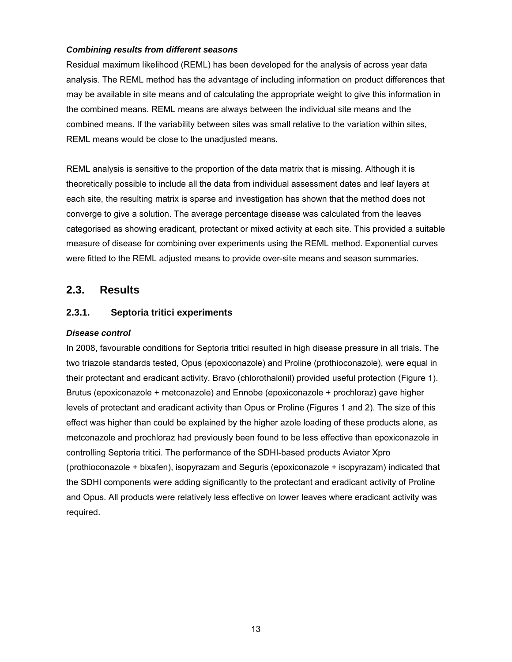#### *Combining results from different seasons*

Residual maximum likelihood (REML) has been developed for the analysis of across year data analysis. The REML method has the advantage of including information on product differences that may be available in site means and of calculating the appropriate weight to give this information in the combined means. REML means are always between the individual site means and the combined means. If the variability between sites was small relative to the variation within sites, REML means would be close to the unadjusted means.

REML analysis is sensitive to the proportion of the data matrix that is missing. Although it is theoretically possible to include all the data from individual assessment dates and leaf layers at each site, the resulting matrix is sparse and investigation has shown that the method does not converge to give a solution. The average percentage disease was calculated from the leaves categorised as showing eradicant, protectant or mixed activity at each site. This provided a suitable measure of disease for combining over experiments using the REML method. Exponential curves were fitted to the REML adjusted means to provide over-site means and season summaries.

### **2.3. Results**

### **2.3.1. Septoria tritici experiments**

#### *Disease control*

In 2008, favourable conditions for Septoria tritici resulted in high disease pressure in all trials. The two triazole standards tested, Opus (epoxiconazole) and Proline (prothioconazole), were equal in their protectant and eradicant activity. Bravo (chlorothalonil) provided useful protection (Figure 1). Brutus (epoxiconazole + metconazole) and Ennobe (epoxiconazole + prochloraz) gave higher levels of protectant and eradicant activity than Opus or Proline (Figures 1 and 2). The size of this effect was higher than could be explained by the higher azole loading of these products alone, as metconazole and prochloraz had previously been found to be less effective than epoxiconazole in controlling Septoria tritici. The performance of the SDHI-based products Aviator Xpro (prothioconazole + bixafen), isopyrazam and Seguris (epoxiconazole + isopyrazam) indicated that the SDHI components were adding significantly to the protectant and eradicant activity of Proline and Opus. All products were relatively less effective on lower leaves where eradicant activity was required.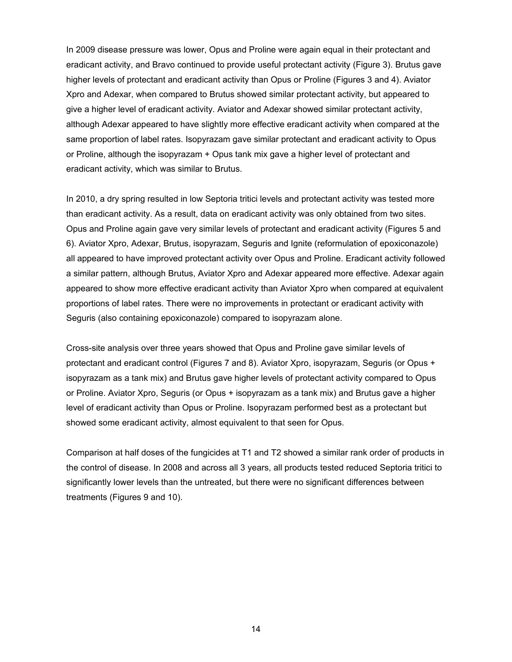In 2009 disease pressure was lower, Opus and Proline were again equal in their protectant and eradicant activity, and Bravo continued to provide useful protectant activity (Figure 3). Brutus gave higher levels of protectant and eradicant activity than Opus or Proline (Figures 3 and 4). Aviator Xpro and Adexar, when compared to Brutus showed similar protectant activity, but appeared to give a higher level of eradicant activity. Aviator and Adexar showed similar protectant activity, although Adexar appeared to have slightly more effective eradicant activity when compared at the same proportion of label rates. Isopyrazam gave similar protectant and eradicant activity to Opus or Proline, although the isopyrazam + Opus tank mix gave a higher level of protectant and eradicant activity, which was similar to Brutus.

In 2010, a dry spring resulted in low Septoria tritici levels and protectant activity was tested more than eradicant activity. As a result, data on eradicant activity was only obtained from two sites. Opus and Proline again gave very similar levels of protectant and eradicant activity (Figures 5 and 6). Aviator Xpro, Adexar, Brutus, isopyrazam, Seguris and Ignite (reformulation of epoxiconazole) all appeared to have improved protectant activity over Opus and Proline. Eradicant activity followed a similar pattern, although Brutus, Aviator Xpro and Adexar appeared more effective. Adexar again appeared to show more effective eradicant activity than Aviator Xpro when compared at equivalent proportions of label rates. There were no improvements in protectant or eradicant activity with Seguris (also containing epoxiconazole) compared to isopyrazam alone.

Cross-site analysis over three years showed that Opus and Proline gave similar levels of protectant and eradicant control (Figures 7 and 8). Aviator Xpro, isopyrazam, Seguris (or Opus + isopyrazam as a tank mix) and Brutus gave higher levels of protectant activity compared to Opus or Proline. Aviator Xpro, Seguris (or Opus + isopyrazam as a tank mix) and Brutus gave a higher level of eradicant activity than Opus or Proline. Isopyrazam performed best as a protectant but showed some eradicant activity, almost equivalent to that seen for Opus.

Comparison at half doses of the fungicides at T1 and T2 showed a similar rank order of products in the control of disease. In 2008 and across all 3 years, all products tested reduced Septoria tritici to significantly lower levels than the untreated, but there were no significant differences between treatments (Figures 9 and 10).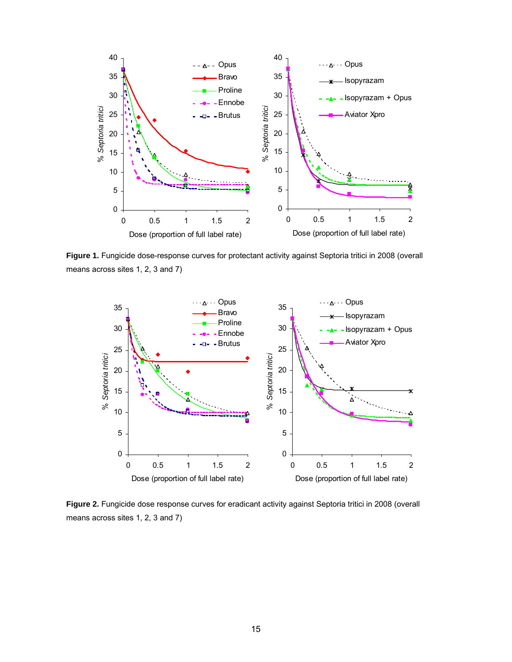

**Figure 1.** Fungicide dose-response curves for protectant activity against Septoria tritici in 2008 (overall means across sites 1, 2, 3 and 7)



**Figure 2.** Fungicide dose response curves for eradicant activity against Septoria tritici in 2008 (overall means across sites 1, 2, 3 and 7)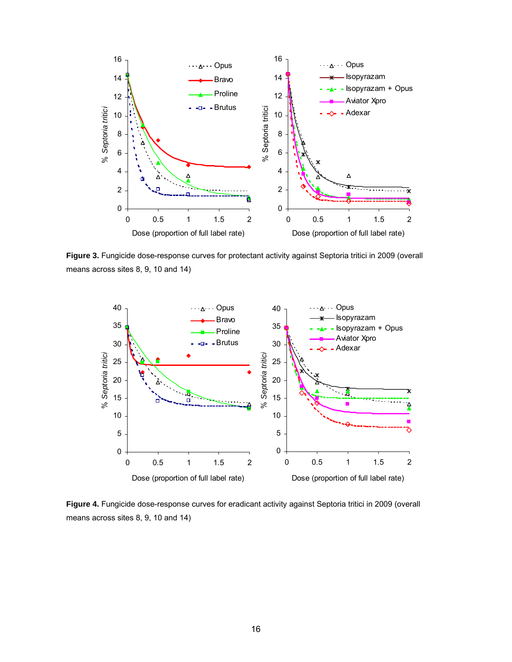

**Figure 3.** Fungicide dose-response curves for protectant activity against Septoria tritici in 2009 (overall means across sites 8, 9, 10 and 14)



**Figure 4.** Fungicide dose-response curves for eradicant activity against Septoria tritici in 2009 (overall means across sites 8, 9, 10 and 14)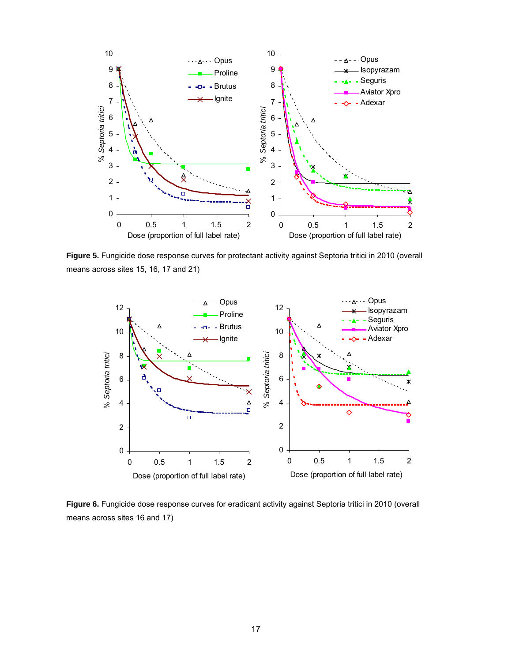

**Figure 5.** Fungicide dose response curves for protectant activity against Septoria tritici in 2010 (overall means across sites 15, 16, 17 and 21)



**Figure 6.** Fungicide dose response curves for eradicant activity against Septoria tritici in 2010 (overall means across sites 16 and 17)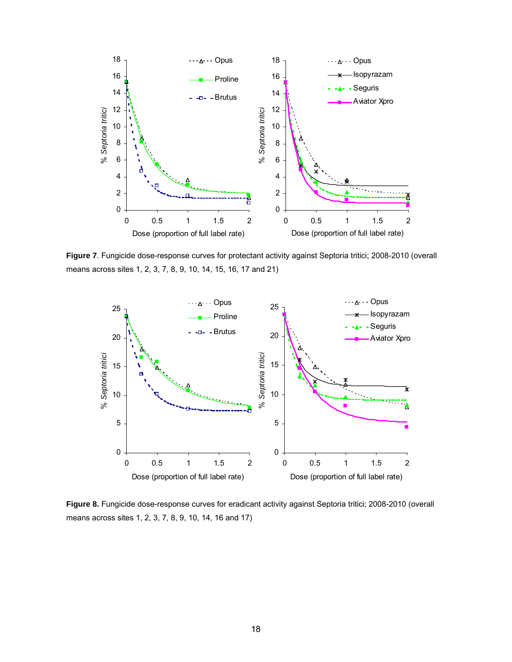

**Figure 7**. Fungicide dose-response curves for protectant activity against Septoria tritici; 2008-2010 (overall means across sites 1, 2, 3, 7, 8, 9, 10, 14, 15, 16, 17 and 21)



**Figure 8.** Fungicide dose-response curves for eradicant activity against Septoria tritici; 2008-2010 (overall means across sites 1, 2, 3, 7, 8, 9, 10, 14, 16 and 17)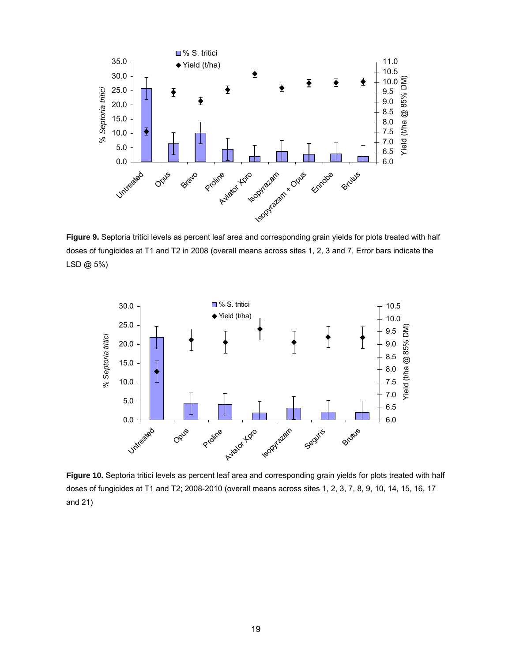

**Figure 9.** Septoria tritici levels as percent leaf area and corresponding grain yields for plots treated with half doses of fungicides at T1 and T2 in 2008 (overall means across sites 1, 2, 3 and 7, Error bars indicate the LSD @ 5%)



**Figure 10.** Septoria tritici levels as percent leaf area and corresponding grain yields for plots treated with half doses of fungicides at T1 and T2; 2008-2010 (overall means across sites 1, 2, 3, 7, 8, 9, 10, 14, 15, 16, 17 and 21)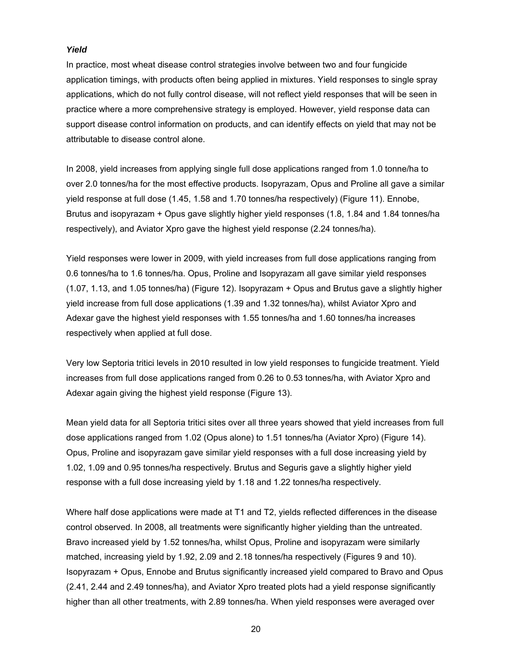#### *Yield*

In practice, most wheat disease control strategies involve between two and four fungicide application timings, with products often being applied in mixtures. Yield responses to single spray applications, which do not fully control disease, will not reflect yield responses that will be seen in practice where a more comprehensive strategy is employed. However, yield response data can support disease control information on products, and can identify effects on yield that may not be attributable to disease control alone.

In 2008, yield increases from applying single full dose applications ranged from 1.0 tonne/ha to over 2.0 tonnes/ha for the most effective products. Isopyrazam, Opus and Proline all gave a similar yield response at full dose (1.45, 1.58 and 1.70 tonnes/ha respectively) (Figure 11). Ennobe, Brutus and isopyrazam + Opus gave slightly higher yield responses (1.8, 1.84 and 1.84 tonnes/ha respectively), and Aviator Xpro gave the highest yield response (2.24 tonnes/ha).

Yield responses were lower in 2009, with yield increases from full dose applications ranging from 0.6 tonnes/ha to 1.6 tonnes/ha. Opus, Proline and Isopyrazam all gave similar yield responses (1.07, 1.13, and 1.05 tonnes/ha) (Figure 12). Isopyrazam + Opus and Brutus gave a slightly higher yield increase from full dose applications (1.39 and 1.32 tonnes/ha), whilst Aviator Xpro and Adexar gave the highest yield responses with 1.55 tonnes/ha and 1.60 tonnes/ha increases respectively when applied at full dose.

Very low Septoria tritici levels in 2010 resulted in low yield responses to fungicide treatment. Yield increases from full dose applications ranged from 0.26 to 0.53 tonnes/ha, with Aviator Xpro and Adexar again giving the highest yield response (Figure 13).

Mean yield data for all Septoria tritici sites over all three years showed that yield increases from full dose applications ranged from 1.02 (Opus alone) to 1.51 tonnes/ha (Aviator Xpro) (Figure 14). Opus, Proline and isopyrazam gave similar yield responses with a full dose increasing yield by 1.02, 1.09 and 0.95 tonnes/ha respectively. Brutus and Seguris gave a slightly higher yield response with a full dose increasing yield by 1.18 and 1.22 tonnes/ha respectively.

Where half dose applications were made at T1 and T2, yields reflected differences in the disease control observed. In 2008, all treatments were significantly higher yielding than the untreated. Bravo increased yield by 1.52 tonnes/ha, whilst Opus, Proline and isopyrazam were similarly matched, increasing yield by 1.92, 2.09 and 2.18 tonnes/ha respectively (Figures 9 and 10). Isopyrazam + Opus, Ennobe and Brutus significantly increased yield compared to Bravo and Opus (2.41, 2.44 and 2.49 tonnes/ha), and Aviator Xpro treated plots had a yield response significantly higher than all other treatments, with 2.89 tonnes/ha. When yield responses were averaged over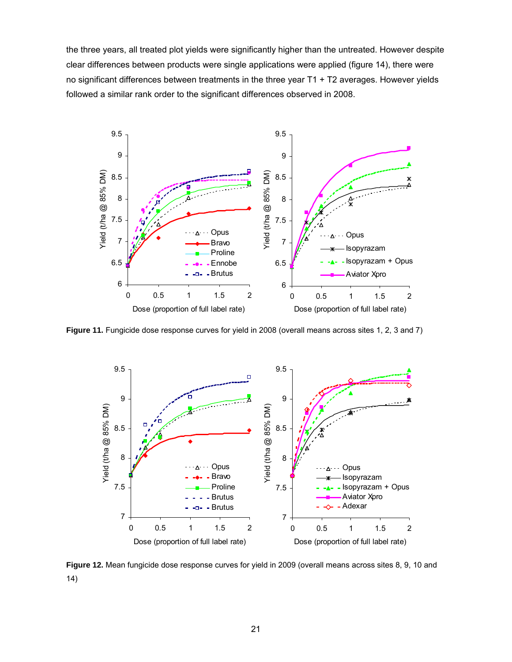the three years, all treated plot yields were significantly higher than the untreated. However despite clear differences between products were single applications were applied (figure 14), there were no significant differences between treatments in the three year T1 + T2 averages. However yields followed a similar rank order to the significant differences observed in 2008.



**Figure 11.** Fungicide dose response curves for yield in 2008 (overall means across sites 1, 2, 3 and 7)



**Figure 12.** Mean fungicide dose response curves for yield in 2009 (overall means across sites 8, 9, 10 and 14)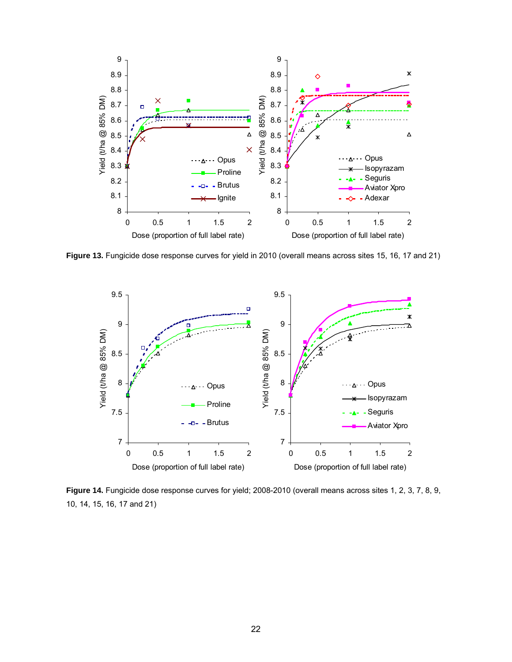

**Figure 13.** Fungicide dose response curves for yield in 2010 (overall means across sites 15, 16, 17 and 21)



**Figure 14.** Fungicide dose response curves for yield; 2008-2010 (overall means across sites 1, 2, 3, 7, 8, 9, 10, 14, 15, 16, 17 and 21)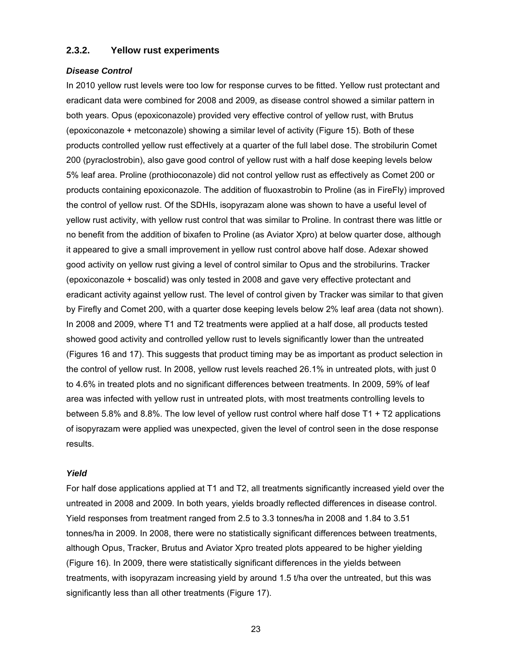#### **2.3.2. Yellow rust experiments**

#### *Disease Control*

In 2010 yellow rust levels were too low for response curves to be fitted. Yellow rust protectant and eradicant data were combined for 2008 and 2009, as disease control showed a similar pattern in both years. Opus (epoxiconazole) provided very effective control of yellow rust, with Brutus (epoxiconazole + metconazole) showing a similar level of activity (Figure 15). Both of these products controlled yellow rust effectively at a quarter of the full label dose. The strobilurin Comet 200 (pyraclostrobin), also gave good control of yellow rust with a half dose keeping levels below 5% leaf area. Proline (prothioconazole) did not control yellow rust as effectively as Comet 200 or products containing epoxiconazole. The addition of fluoxastrobin to Proline (as in FireFly) improved the control of yellow rust. Of the SDHIs, isopyrazam alone was shown to have a useful level of yellow rust activity, with yellow rust control that was similar to Proline. In contrast there was little or no benefit from the addition of bixafen to Proline (as Aviator Xpro) at below quarter dose, although it appeared to give a small improvement in yellow rust control above half dose. Adexar showed good activity on yellow rust giving a level of control similar to Opus and the strobilurins. Tracker (epoxiconazole + boscalid) was only tested in 2008 and gave very effective protectant and eradicant activity against yellow rust. The level of control given by Tracker was similar to that given by Firefly and Comet 200, with a quarter dose keeping levels below 2% leaf area (data not shown). In 2008 and 2009, where T1 and T2 treatments were applied at a half dose, all products tested showed good activity and controlled yellow rust to levels significantly lower than the untreated (Figures 16 and 17). This suggests that product timing may be as important as product selection in the control of yellow rust. In 2008, yellow rust levels reached 26.1% in untreated plots, with just 0 to 4.6% in treated plots and no significant differences between treatments. In 2009, 59% of leaf area was infected with yellow rust in untreated plots, with most treatments controlling levels to between 5.8% and 8.8%. The low level of yellow rust control where half dose T1 + T2 applications of isopyrazam were applied was unexpected, given the level of control seen in the dose response results.

#### *Yield*

For half dose applications applied at T1 and T2, all treatments significantly increased yield over the untreated in 2008 and 2009. In both years, yields broadly reflected differences in disease control. Yield responses from treatment ranged from 2.5 to 3.3 tonnes/ha in 2008 and 1.84 to 3.51 tonnes/ha in 2009. In 2008, there were no statistically significant differences between treatments, although Opus, Tracker, Brutus and Aviator Xpro treated plots appeared to be higher yielding (Figure 16). In 2009, there were statistically significant differences in the yields between treatments, with isopyrazam increasing yield by around 1.5 t/ha over the untreated, but this was significantly less than all other treatments (Figure 17).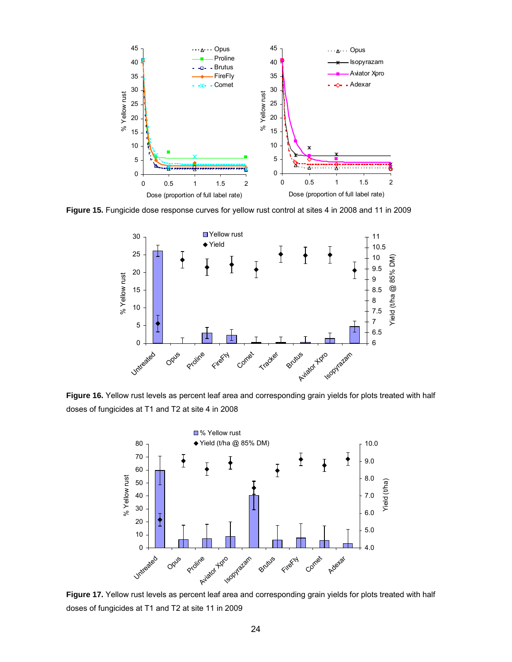

**Figure 15.** Fungicide dose response curves for yellow rust control at sites 4 in 2008 and 11 in 2009



**Figure 16.** Yellow rust levels as percent leaf area and corresponding grain yields for plots treated with half doses of fungicides at T1 and T2 at site 4 in 2008



Figure 17. Yellow rust levels as percent leaf area and corresponding grain yields for plots treated with half doses of fungicides at T1 and T2 at site 11 in 2009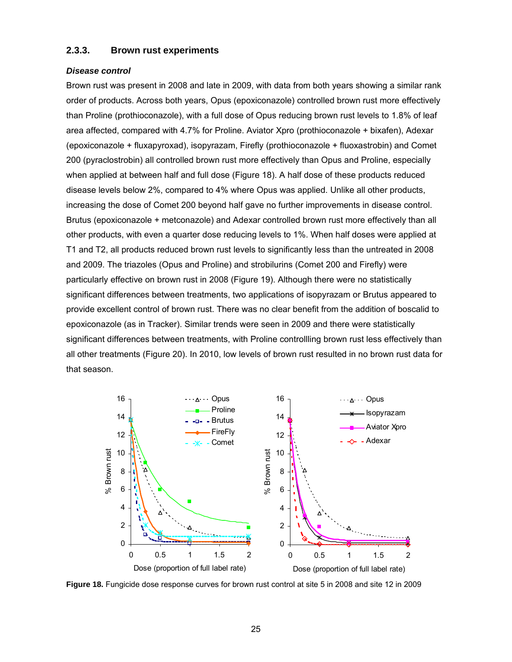#### **2.3.3. Brown rust experiments**

#### *Disease control*

Brown rust was present in 2008 and late in 2009, with data from both years showing a similar rank order of products. Across both years, Opus (epoxiconazole) controlled brown rust more effectively than Proline (prothioconazole), with a full dose of Opus reducing brown rust levels to 1.8% of leaf area affected, compared with 4.7% for Proline. Aviator Xpro (prothioconazole + bixafen), Adexar (epoxiconazole + fluxapyroxad), isopyrazam, Firefly (prothioconazole + fluoxastrobin) and Comet 200 (pyraclostrobin) all controlled brown rust more effectively than Opus and Proline, especially when applied at between half and full dose (Figure 18). A half dose of these products reduced disease levels below 2%, compared to 4% where Opus was applied. Unlike all other products, increasing the dose of Comet 200 beyond half gave no further improvements in disease control. Brutus (epoxiconazole + metconazole) and Adexar controlled brown rust more effectively than all other products, with even a quarter dose reducing levels to 1%. When half doses were applied at T1 and T2, all products reduced brown rust levels to significantly less than the untreated in 2008 and 2009. The triazoles (Opus and Proline) and strobilurins (Comet 200 and Firefly) were particularly effective on brown rust in 2008 (Figure 19). Although there were no statistically significant differences between treatments, two applications of isopyrazam or Brutus appeared to provide excellent control of brown rust. There was no clear benefit from the addition of boscalid to epoxiconazole (as in Tracker). Similar trends were seen in 2009 and there were statistically significant differences between treatments, with Proline controllling brown rust less effectively than all other treatments (Figure 20). In 2010, low levels of brown rust resulted in no brown rust data for that season.



**Figure 18.** Fungicide dose response curves for brown rust control at site 5 in 2008 and site 12 in 2009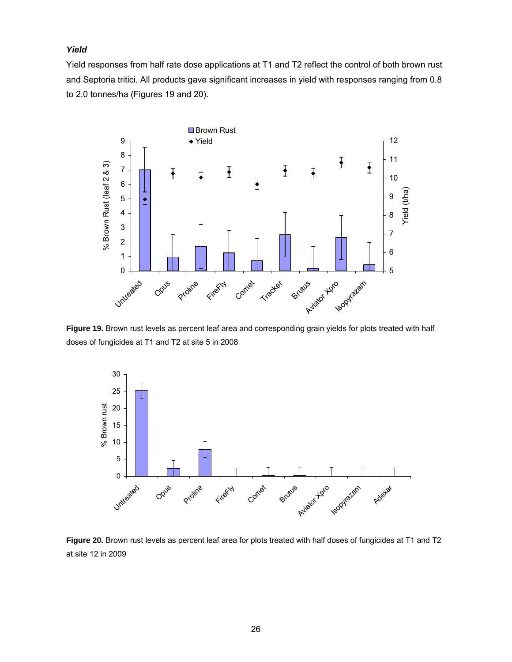### *Yield*

Yield responses from half rate dose applications at T1 and T2 reflect the control of both brown rust and Septoria tritici. All products gave significant increases in yield with responses ranging from 0.8 to 2.0 tonnes/ha (Figures 19 and 20).



**Figure 19.** Brown rust levels as percent leaf area and corresponding grain yields for plots treated with half doses of fungicides at T1 and T2 at site 5 in 2008



**Figure 20.** Brown rust levels as percent leaf area for plots treated with half doses of fungicides at T1 and T2 at site 12 in 2009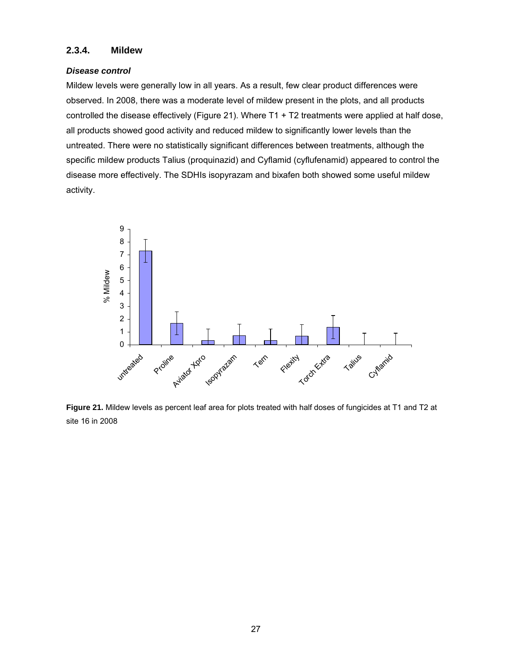### **2.3.4. Mildew**

#### *Disease control*

Mildew levels were generally low in all years. As a result, few clear product differences were observed. In 2008, there was a moderate level of mildew present in the plots, and all products controlled the disease effectively (Figure 21). Where T1 + T2 treatments were applied at half dose, all products showed good activity and reduced mildew to significantly lower levels than the untreated. There were no statistically significant differences between treatments, although the specific mildew products Talius (proquinazid) and Cyflamid (cyflufenamid) appeared to control the disease more effectively. The SDHIs isopyrazam and bixafen both showed some useful mildew activity.



**Figure 21.** Mildew levels as percent leaf area for plots treated with half doses of fungicides at T1 and T2 at site 16 in 2008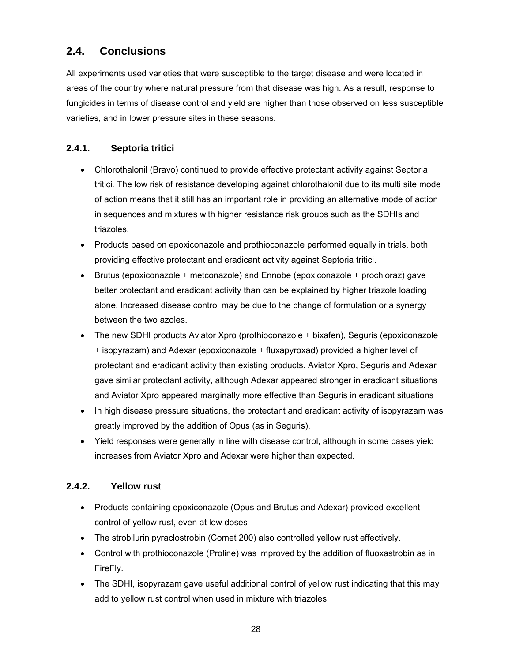# **2.4. Conclusions**

All experiments used varieties that were susceptible to the target disease and were located in areas of the country where natural pressure from that disease was high. As a result, response to fungicides in terms of disease control and yield are higher than those observed on less susceptible varieties, and in lower pressure sites in these seasons.

### **2.4.1. Septoria tritici**

- Chlorothalonil (Bravo) continued to provide effective protectant activity against Septoria tritici*.* The low risk of resistance developing against chlorothalonil due to its multi site mode of action means that it still has an important role in providing an alternative mode of action in sequences and mixtures with higher resistance risk groups such as the SDHIs and triazoles.
- Products based on epoxiconazole and prothioconazole performed equally in trials, both providing effective protectant and eradicant activity against Septoria tritici.
- Brutus (epoxiconazole + metconazole) and Ennobe (epoxiconazole + prochloraz) gave better protectant and eradicant activity than can be explained by higher triazole loading alone. Increased disease control may be due to the change of formulation or a synergy between the two azoles.
- The new SDHI products Aviator Xpro (prothioconazole + bixafen), Seguris (epoxiconazole + isopyrazam) and Adexar (epoxiconazole + fluxapyroxad) provided a higher level of protectant and eradicant activity than existing products. Aviator Xpro, Seguris and Adexar gave similar protectant activity, although Adexar appeared stronger in eradicant situations and Aviator Xpro appeared marginally more effective than Seguris in eradicant situations
- In high disease pressure situations, the protectant and eradicant activity of isopyrazam was greatly improved by the addition of Opus (as in Seguris).
- Yield responses were generally in line with disease control, although in some cases yield increases from Aviator Xpro and Adexar were higher than expected.

### **2.4.2. Yellow rust**

- Products containing epoxiconazole (Opus and Brutus and Adexar) provided excellent control of yellow rust, even at low doses
- The strobilurin pyraclostrobin (Comet 200) also controlled yellow rust effectively.
- Control with prothioconazole (Proline) was improved by the addition of fluoxastrobin as in FireFly.
- The SDHI, isopyrazam gave useful additional control of yellow rust indicating that this may add to yellow rust control when used in mixture with triazoles.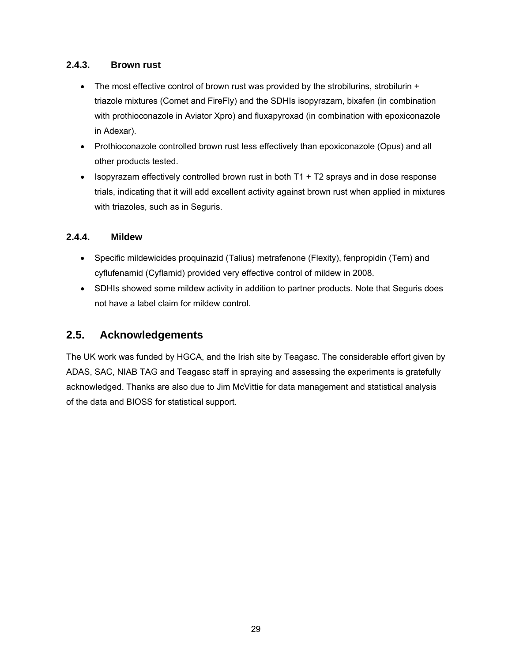### **2.4.3. Brown rust**

- The most effective control of brown rust was provided by the strobilurins, strobilurin + triazole mixtures (Comet and FireFly) and the SDHIs isopyrazam, bixafen (in combination with prothioconazole in Aviator Xpro) and fluxapyroxad (in combination with epoxiconazole in Adexar).
- Prothioconazole controlled brown rust less effectively than epoxiconazole (Opus) and all other products tested.
- Isopyrazam effectively controlled brown rust in both  $T_1 + T_2$  sprays and in dose response trials, indicating that it will add excellent activity against brown rust when applied in mixtures with triazoles, such as in Seguris.

### **2.4.4. Mildew**

- Specific mildewicides proquinazid (Talius) metrafenone (Flexity), fenpropidin (Tern) and cyflufenamid (Cyflamid) provided very effective control of mildew in 2008.
- SDHIs showed some mildew activity in addition to partner products. Note that Seguris does not have a label claim for mildew control.

# **2.5. Acknowledgements**

The UK work was funded by HGCA, and the Irish site by Teagasc. The considerable effort given by ADAS, SAC, NIAB TAG and Teagasc staff in spraying and assessing the experiments is gratefully acknowledged. Thanks are also due to Jim McVittie for data management and statistical analysis of the data and BIOSS for statistical support.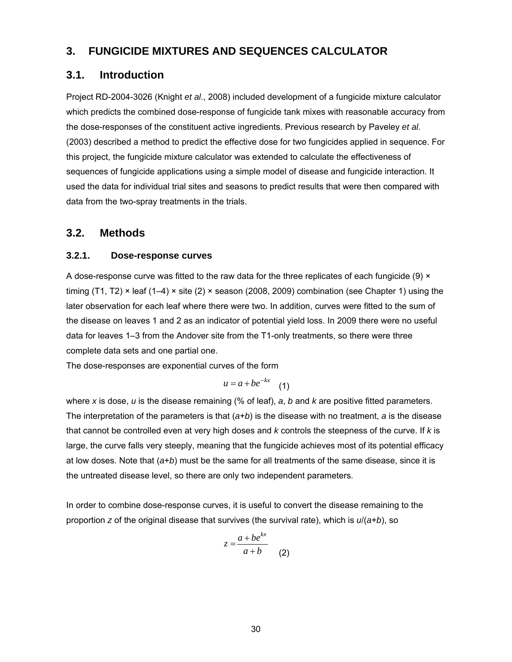# **3. FUNGICIDE MIXTURES AND SEQUENCES CALCULATOR**

### **3.1. Introduction**

Project RD-2004-3026 (Knight *et al*., 2008) included development of a fungicide mixture calculator which predicts the combined dose-response of fungicide tank mixes with reasonable accuracy from the dose-responses of the constituent active ingredients. Previous research by Paveley *et al*. (2003) described a method to predict the effective dose for two fungicides applied in sequence. For this project, the fungicide mixture calculator was extended to calculate the effectiveness of sequences of fungicide applications using a simple model of disease and fungicide interaction. It used the data for individual trial sites and seasons to predict results that were then compared with data from the two-spray treatments in the trials.

### **3.2. Methods**

### **3.2.1. Dose-response curves**

A dose-response curve was fitted to the raw data for the three replicates of each fungicide (9)  $\times$ timing (T1, T2)  $\times$  leaf (1–4)  $\times$  site (2)  $\times$  season (2008, 2009) combination (see Chapter 1) using the later observation for each leaf where there were two. In addition, curves were fitted to the sum of the disease on leaves 1 and 2 as an indicator of potential yield loss. In 2009 there were no useful data for leaves 1–3 from the Andover site from the T1-only treatments, so there were three complete data sets and one partial one.

The dose-responses are exponential curves of the form

$$
u = a + be^{-kx} \quad (1)
$$

where *x* is dose, *u* is the disease remaining (% of leaf), *a*, *b* and *k* are positive fitted parameters. The interpretation of the parameters is that (*a*+*b*) is the disease with no treatment, *a* is the disease that cannot be controlled even at very high doses and *k* controls the steepness of the curve. If *k* is large, the curve falls very steeply, meaning that the fungicide achieves most of its potential efficacy at low doses. Note that (*a*+*b*) must be the same for all treatments of the same disease, since it is the untreated disease level, so there are only two independent parameters.

In order to combine dose-response curves, it is useful to convert the disease remaining to the proportion *z* of the original disease that survives (the survival rate), which is *u*/(*a*+*b*), so

$$
z = \frac{a + be^{kx}}{a + b}
$$
 (2)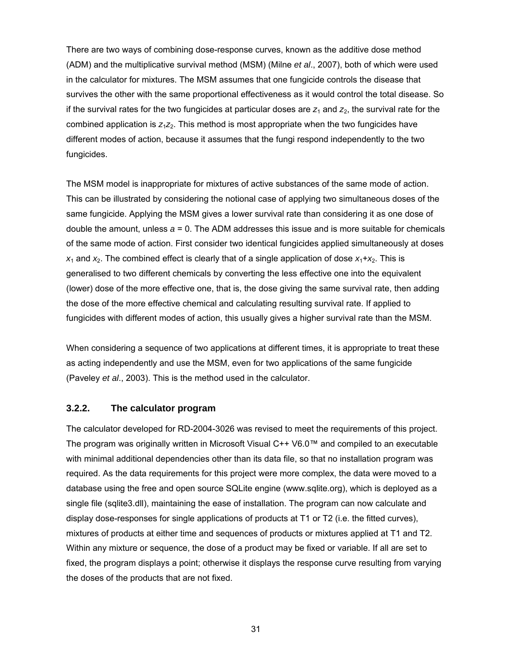There are two ways of combining dose-response curves, known as the additive dose method (ADM) and the multiplicative survival method (MSM) (Milne *et al*., 2007), both of which were used in the calculator for mixtures. The MSM assumes that one fungicide controls the disease that survives the other with the same proportional effectiveness as it would control the total disease. So if the survival rates for the two fungicides at particular doses are  $z_1$  and  $z_2$ , the survival rate for the combined application is  $z_1z_2$ . This method is most appropriate when the two fungicides have different modes of action, because it assumes that the fungi respond independently to the two fungicides.

The MSM model is inappropriate for mixtures of active substances of the same mode of action. This can be illustrated by considering the notional case of applying two simultaneous doses of the same fungicide. Applying the MSM gives a lower survival rate than considering it as one dose of double the amount, unless *a* = 0. The ADM addresses this issue and is more suitable for chemicals of the same mode of action. First consider two identical fungicides applied simultaneously at doses  $x_1$  and  $x_2$ . The combined effect is clearly that of a single application of dose  $x_1 + x_2$ . This is generalised to two different chemicals by converting the less effective one into the equivalent (lower) dose of the more effective one, that is, the dose giving the same survival rate, then adding the dose of the more effective chemical and calculating resulting survival rate. If applied to fungicides with different modes of action, this usually gives a higher survival rate than the MSM.

When considering a sequence of two applications at different times, it is appropriate to treat these as acting independently and use the MSM, even for two applications of the same fungicide (Paveley *et al*., 2003). This is the method used in the calculator.

#### **3.2.2. The calculator program**

The calculator developed for RD-2004-3026 was revised to meet the requirements of this project. The program was originally written in Microsoft Visual C++ V6.0™ and compiled to an executable with minimal additional dependencies other than its data file, so that no installation program was required. As the data requirements for this project were more complex, the data were moved to a database using the free and open source SQLite engine (www.sqlite.org), which is deployed as a single file (sqlite3.dll), maintaining the ease of installation. The program can now calculate and display dose-responses for single applications of products at T1 or T2 (i.e. the fitted curves), mixtures of products at either time and sequences of products or mixtures applied at T1 and T2. Within any mixture or sequence, the dose of a product may be fixed or variable. If all are set to fixed, the program displays a point; otherwise it displays the response curve resulting from varying the doses of the products that are not fixed.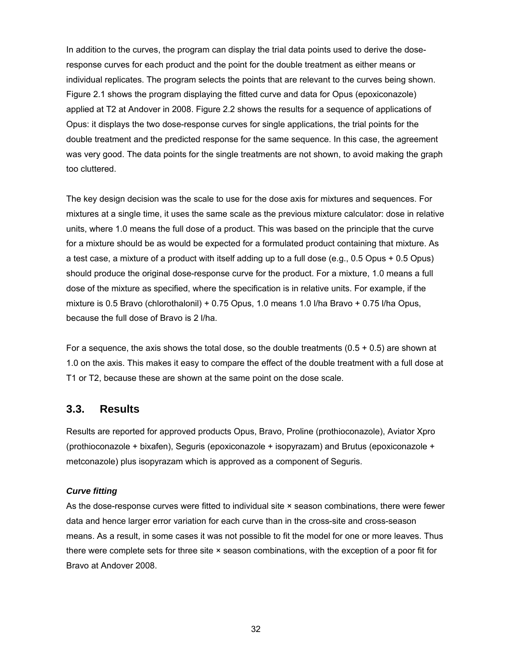In addition to the curves, the program can display the trial data points used to derive the doseresponse curves for each product and the point for the double treatment as either means or individual replicates. The program selects the points that are relevant to the curves being shown. Figure 2.1 shows the program displaying the fitted curve and data for Opus (epoxiconazole) applied at T2 at Andover in 2008. Figure 2.2 shows the results for a sequence of applications of Opus: it displays the two dose-response curves for single applications, the trial points for the double treatment and the predicted response for the same sequence. In this case, the agreement was very good. The data points for the single treatments are not shown, to avoid making the graph too cluttered.

The key design decision was the scale to use for the dose axis for mixtures and sequences. For mixtures at a single time, it uses the same scale as the previous mixture calculator: dose in relative units, where 1.0 means the full dose of a product. This was based on the principle that the curve for a mixture should be as would be expected for a formulated product containing that mixture. As a test case, a mixture of a product with itself adding up to a full dose (e.g., 0.5 Opus + 0.5 Opus) should produce the original dose-response curve for the product. For a mixture, 1.0 means a full dose of the mixture as specified, where the specification is in relative units. For example, if the mixture is 0.5 Bravo (chlorothalonil) + 0.75 Opus, 1.0 means 1.0 l/ha Bravo + 0.75 l/ha Opus, because the full dose of Bravo is 2 l/ha.

For a sequence, the axis shows the total dose, so the double treatments  $(0.5 + 0.5)$  are shown at 1.0 on the axis. This makes it easy to compare the effect of the double treatment with a full dose at T1 or T2, because these are shown at the same point on the dose scale.

### **3.3. Results**

Results are reported for approved products Opus, Bravo, Proline (prothioconazole), Aviator Xpro (prothioconazole + bixafen), Seguris (epoxiconazole + isopyrazam) and Brutus (epoxiconazole + metconazole) plus isopyrazam which is approved as a component of Seguris.

#### *Curve fitting*

As the dose-response curves were fitted to individual site × season combinations, there were fewer data and hence larger error variation for each curve than in the cross-site and cross-season means. As a result, in some cases it was not possible to fit the model for one or more leaves. Thus there were complete sets for three site × season combinations, with the exception of a poor fit for Bravo at Andover 2008.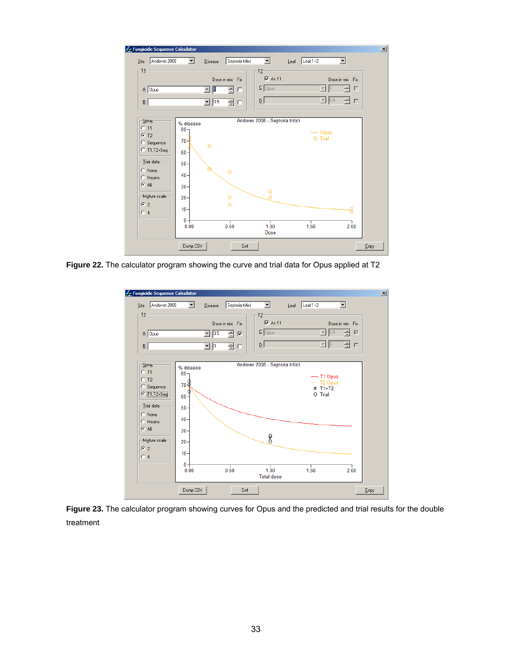

**Figure 22.** The calculator program showing the curve and trial data for Opus applied at T2



**Figure 23.** The calculator program showing curves for Opus and the predicted and trial results for the double treatment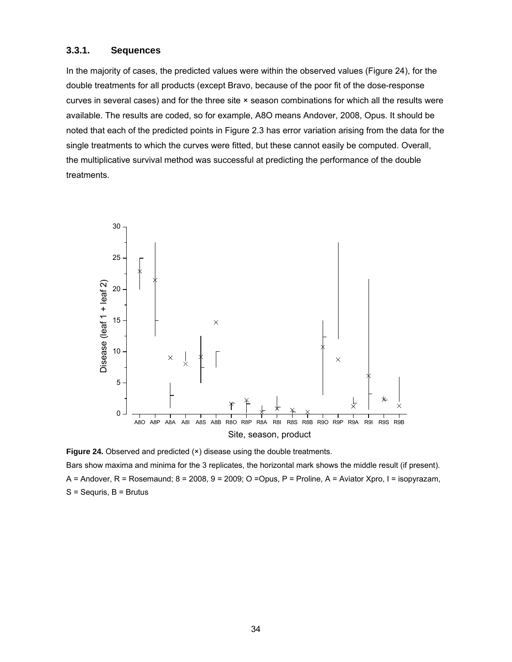#### **3.3.1. Sequences**

In the majority of cases, the predicted values were within the observed values (Figure 24), for the double treatments for all products (except Bravo, because of the poor fit of the dose-response curves in several cases) and for the three site × season combinations for which all the results were available. The results are coded, so for example, A8O means Andover, 2008, Opus. It should be noted that each of the predicted points in Figure 2.3 has error variation arising from the data for the single treatments to which the curves were fitted, but these cannot easily be computed. Overall, the multiplicative survival method was successful at predicting the performance of the double treatments.



**Figure 24.** Observed and predicted ( $\times$ ) disease using the double treatments. Bars show maxima and minima for the 3 replicates, the horizontal mark shows the middle result (if present). A = Andover, R = Rosemaund; 8 = 2008, 9 = 2009; O =Opus, P = Proline, A = Aviator Xpro, I = isopyrazam, S = Sequris, B = Brutus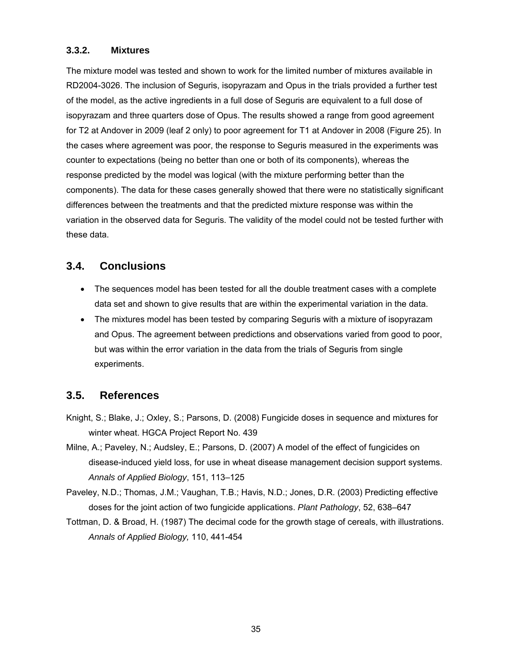### **3.3.2. Mixtures**

The mixture model was tested and shown to work for the limited number of mixtures available in RD2004-3026. The inclusion of Seguris, isopyrazam and Opus in the trials provided a further test of the model, as the active ingredients in a full dose of Seguris are equivalent to a full dose of isopyrazam and three quarters dose of Opus. The results showed a range from good agreement for T2 at Andover in 2009 (leaf 2 only) to poor agreement for T1 at Andover in 2008 (Figure 25). In the cases where agreement was poor, the response to Seguris measured in the experiments was counter to expectations (being no better than one or both of its components), whereas the response predicted by the model was logical (with the mixture performing better than the components). The data for these cases generally showed that there were no statistically significant differences between the treatments and that the predicted mixture response was within the variation in the observed data for Seguris. The validity of the model could not be tested further with these data.

# **3.4. Conclusions**

- The sequences model has been tested for all the double treatment cases with a complete data set and shown to give results that are within the experimental variation in the data.
- The mixtures model has been tested by comparing Seguris with a mixture of isopyrazam and Opus. The agreement between predictions and observations varied from good to poor, but was within the error variation in the data from the trials of Seguris from single experiments.

# **3.5. References**

- Knight, S.; Blake, J.; Oxley, S.; Parsons, D. (2008) Fungicide doses in sequence and mixtures for winter wheat. HGCA Project Report No. 439
- Milne, A.; Paveley, N.; Audsley, E.; Parsons, D. (2007) A model of the effect of fungicides on disease-induced yield loss, for use in wheat disease management decision support systems. *Annals of Applied Biology*, 151, 113–125
- Paveley, N.D.; Thomas, J.M.; Vaughan, T.B.; Havis, N.D.; Jones, D.R. (2003) Predicting effective doses for the joint action of two fungicide applications. *Plant Pathology*, 52, 638–647
- Tottman, D. & Broad, H. (1987) The decimal code for the growth stage of cereals, with illustrations. *Annals of Applied Biology,* 110, 441-454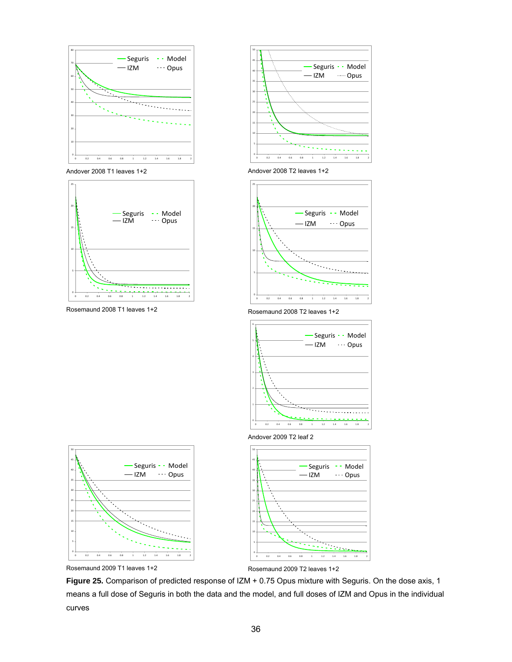





Andover 2008 T1 leaves 1+2 Andover 2008 T2 leaves 1+2



Rosemaund 2008 T1 leaves 1+2 Rosemaund 2008 T2 leaves 1+2









Rosemaund 2009 T1 leaves 1+2 **Rosemaund 2009 T2 leaves 1+2** 

**Figure 25.** Comparison of predicted response of IZM + 0.75 Opus mixture with Seguris. On the dose axis, 1 means a full dose of Seguris in both the data and the model, and full doses of IZM and Opus in the individual curves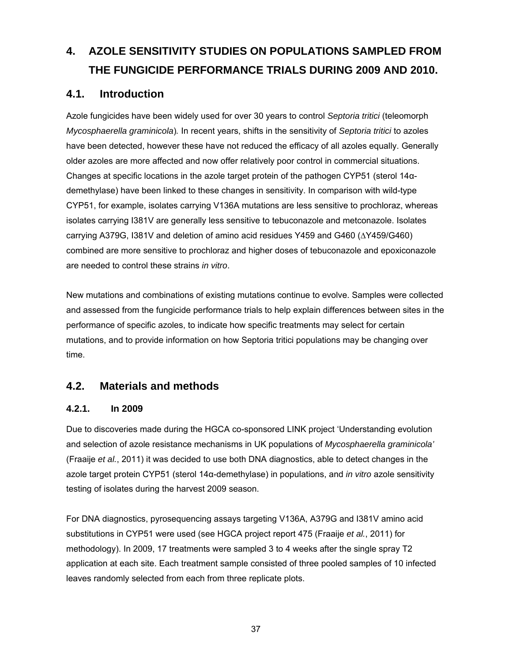# **4. AZOLE SENSITIVITY STUDIES ON POPULATIONS SAMPLED FROM THE FUNGICIDE PERFORMANCE TRIALS DURING 2009 AND 2010.**

# **4.1. Introduction**

Azole fungicides have been widely used for over 30 years to control *Septoria tritici* (teleomorph *Mycosphaerella graminicola*)*.* In recent years, shifts in the sensitivity of *Septoria tritici* to azoles have been detected, however these have not reduced the efficacy of all azoles equally. Generally older azoles are more affected and now offer relatively poor control in commercial situations. Changes at specific locations in the azole target protein of the pathogen CYP51 (sterol 14αdemethylase) have been linked to these changes in sensitivity. In comparison with wild-type CYP51, for example, isolates carrying V136A mutations are less sensitive to prochloraz, whereas isolates carrying I381V are generally less sensitive to tebuconazole and metconazole. Isolates carrying A379G, I381V and deletion of amino acid residues Y459 and G460 (∆Y459/G460) combined are more sensitive to prochloraz and higher doses of tebuconazole and epoxiconazole are needed to control these strains *in vitro*.

New mutations and combinations of existing mutations continue to evolve. Samples were collected and assessed from the fungicide performance trials to help explain differences between sites in the performance of specific azoles, to indicate how specific treatments may select for certain mutations, and to provide information on how Septoria tritici populations may be changing over time.

# **4.2. Materials and methods**

### **4.2.1. In 2009**

Due to discoveries made during the HGCA co-sponsored LINK project 'Understanding evolution and selection of azole resistance mechanisms in UK populations of *Mycosphaerella graminicola'*  (Fraaije *et al.*, 2011) it was decided to use both DNA diagnostics, able to detect changes in the azole target protein CYP51 (sterol 14α-demethylase) in populations, and *in vitro* azole sensitivity testing of isolates during the harvest 2009 season.

For DNA diagnostics, pyrosequencing assays targeting V136A, A379G and I381V amino acid substitutions in CYP51 were used (see HGCA project report 475 (Fraaije *et al.*, 2011) for methodology). In 2009, 17 treatments were sampled 3 to 4 weeks after the single spray T2 application at each site. Each treatment sample consisted of three pooled samples of 10 infected leaves randomly selected from each from three replicate plots.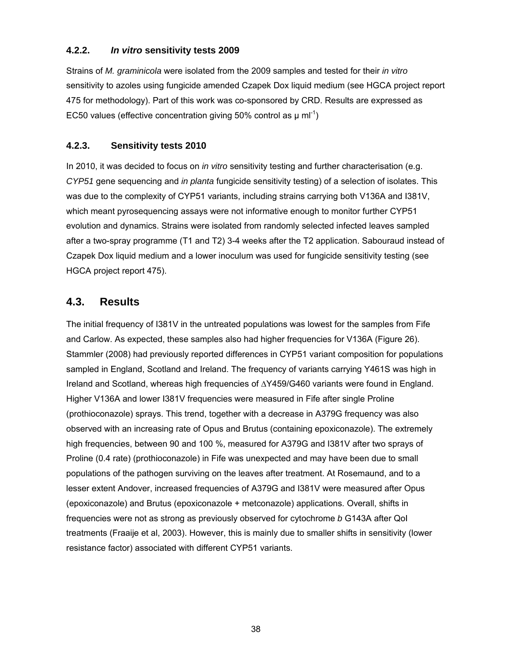### **4.2.2.** *In vitro* **sensitivity tests 2009**

Strains of *M. graminicola* were isolated from the 2009 samples and tested for their *in vitro* sensitivity to azoles using fungicide amended Czapek Dox liquid medium (see HGCA project report 475 for methodology). Part of this work was co-sponsored by CRD. Results are expressed as EC50 values (effective concentration giving 50% control as  $\mu$  ml<sup>-1</sup>)

### **4.2.3. Sensitivity tests 2010**

In 2010, it was decided to focus on *in vitro* sensitivity testing and further characterisation (e.g. *CYP51* gene sequencing and *in planta* fungicide sensitivity testing) of a selection of isolates. This was due to the complexity of CYP51 variants, including strains carrying both V136A and I381V, which meant pyrosequencing assays were not informative enough to monitor further CYP51 evolution and dynamics. Strains were isolated from randomly selected infected leaves sampled after a two-spray programme (T1 and T2) 3-4 weeks after the T2 application. Sabouraud instead of Czapek Dox liquid medium and a lower inoculum was used for fungicide sensitivity testing (see HGCA project report 475).

# **4.3. Results**

The initial frequency of I381V in the untreated populations was lowest for the samples from Fife and Carlow. As expected, these samples also had higher frequencies for V136A (Figure 26). Stammler (2008) had previously reported differences in CYP51 variant composition for populations sampled in England, Scotland and Ireland. The frequency of variants carrying Y461S was high in Ireland and Scotland, whereas high frequencies of ∆Y459/G460 variants were found in England. Higher V136A and lower I381V frequencies were measured in Fife after single Proline (prothioconazole) sprays. This trend, together with a decrease in A379G frequency was also observed with an increasing rate of Opus and Brutus (containing epoxiconazole). The extremely high frequencies, between 90 and 100 %, measured for A379G and I381V after two sprays of Proline (0.4 rate) (prothioconazole) in Fife was unexpected and may have been due to small populations of the pathogen surviving on the leaves after treatment. At Rosemaund, and to a lesser extent Andover, increased frequencies of A379G and I381V were measured after Opus (epoxiconazole) and Brutus (epoxiconazole + metconazole) applications. Overall, shifts in frequencies were not as strong as previously observed for cytochrome *b* G143A after QoI treatments (Fraaije et al, 2003). However, this is mainly due to smaller shifts in sensitivity (lower resistance factor) associated with different CYP51 variants.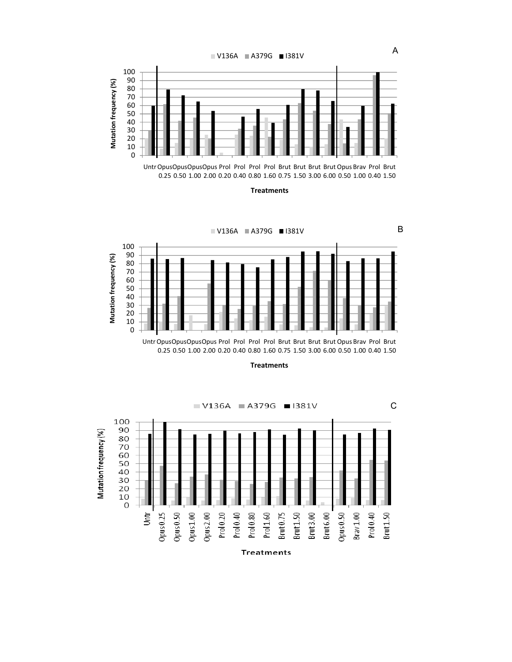

Untr OpusOpusOpus Prol Prol Prol Prol Brut Brut Brut Brut Opus Brav Prol Brut 0.25 0.50 1.00 2.00 0.20 0.40 0.80 1.60 0.75 1.50 3.00 6.00 0.50 1.00 0.40 1.50

**Treatments**



**Treatments**



**Treatments**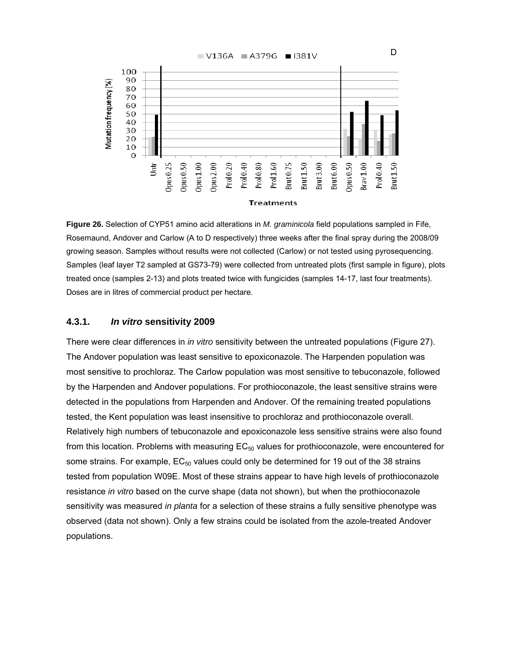

**Figure 26.** Selection of CYP51 amino acid alterations in *M. graminicola* field populations sampled in Fife, Rosemaund, Andover and Carlow (A to D respectively) three weeks after the final spray during the 2008/09 growing season. Samples without results were not collected (Carlow) or not tested using pyrosequencing. Samples (leaf layer T2 sampled at GS73-79) were collected from untreated plots (first sample in figure), plots treated once (samples 2-13) and plots treated twice with fungicides (samples 14-17, last four treatments). Doses are in litres of commercial product per hectare.

### **4.3.1.** *In vitro* **sensitivity 2009**

There were clear differences in *in vitro* sensitivity between the untreated populations (Figure 27). The Andover population was least sensitive to epoxiconazole. The Harpenden population was most sensitive to prochloraz. The Carlow population was most sensitive to tebuconazole, followed by the Harpenden and Andover populations. For prothioconazole, the least sensitive strains were detected in the populations from Harpenden and Andover. Of the remaining treated populations tested, the Kent population was least insensitive to prochloraz and prothioconazole overall. Relatively high numbers of tebuconazole and epoxiconazole less sensitive strains were also found from this location. Problems with measuring  $EC_{50}$  values for prothioconazole, were encountered for some strains. For example,  $EC_{50}$  values could only be determined for 19 out of the 38 strains tested from population W09E. Most of these strains appear to have high levels of prothioconazole resistance *in vitro* based on the curve shape (data not shown), but when the prothioconazole sensitivity was measured *in planta* for a selection of these strains a fully sensitive phenotype was observed (data not shown). Only a few strains could be isolated from the azole-treated Andover populations.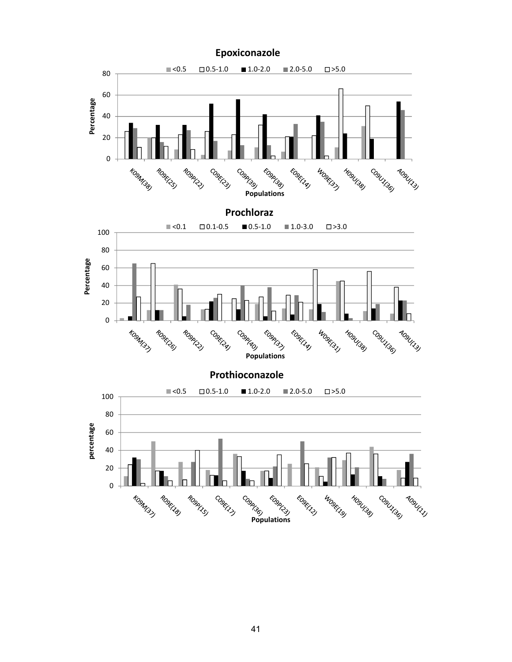

**Epoxiconazole**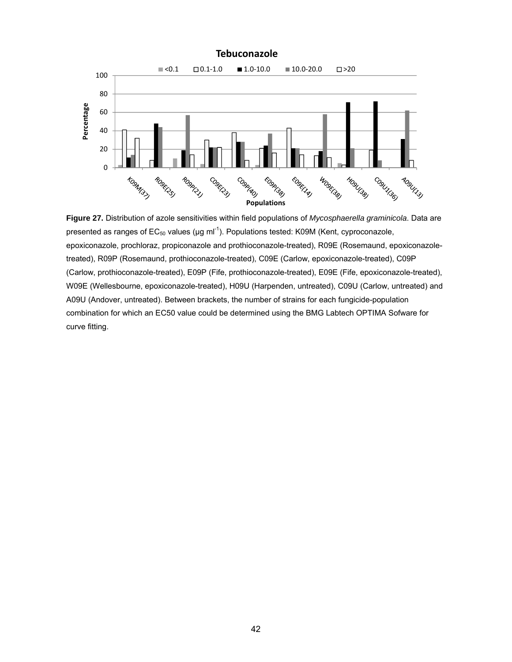

**Figure 27.** Distribution of azole sensitivities within field populations of *Mycosphaerella graminicola*. Data are presented as ranges of  $EC_{50}$  values ( $\mu$ g ml<sup>-1</sup>). Populations tested: K09M (Kent, cyproconazole, epoxiconazole, prochloraz, propiconazole and prothioconazole-treated), R09E (Rosemaund, epoxiconazoletreated), R09P (Rosemaund, prothioconazole-treated), C09E (Carlow, epoxiconazole-treated), C09P (Carlow, prothioconazole-treated), E09P (Fife, prothioconazole-treated), E09E (Fife, epoxiconazole-treated), W09E (Wellesbourne, epoxiconazole-treated), H09U (Harpenden, untreated), C09U (Carlow, untreated) and A09U (Andover, untreated). Between brackets, the number of strains for each fungicide-population combination for which an EC50 value could be determined using the BMG Labtech OPTIMA Sofware for curve fitting.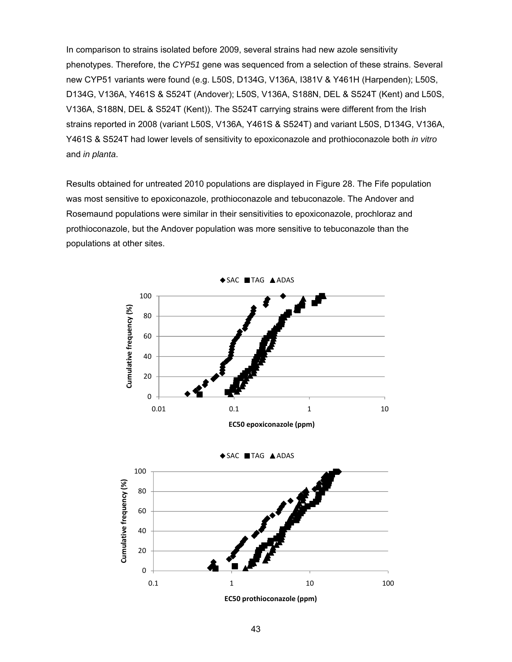In comparison to strains isolated before 2009, several strains had new azole sensitivity phenotypes. Therefore, the *CYP51* gene was sequenced from a selection of these strains. Several new CYP51 variants were found (e.g. L50S, D134G, V136A, I381V & Y461H (Harpenden); L50S, D134G, V136A, Y461S & S524T (Andover); L50S, V136A, S188N, DEL & S524T (Kent) and L50S, V136A, S188N, DEL & S524T (Kent)). The S524T carrying strains were different from the Irish strains reported in 2008 (variant L50S, V136A, Y461S & S524T) and variant L50S, D134G, V136A, Y461S & S524T had lower levels of sensitivity to epoxiconazole and prothioconazole both *in vitro* and *in planta*.

Results obtained for untreated 2010 populations are displayed in Figure 28. The Fife population was most sensitive to epoxiconazole, prothioconazole and tebuconazole. The Andover and Rosemaund populations were similar in their sensitivities to epoxiconazole, prochloraz and prothioconazole, but the Andover population was more sensitive to tebuconazole than the populations at other sites.



**EC50 prothioconazole (ppm)**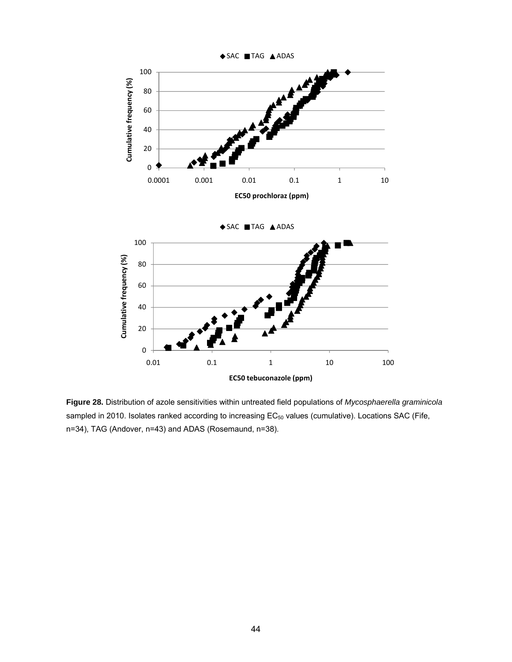

**Figure 28.** Distribution of azole sensitivities within untreated field populations of *Mycosphaerella graminicola* sampled in 2010. Isolates ranked according to increasing EC<sub>50</sub> values (cumulative). Locations SAC (Fife, n=34), TAG (Andover, n=43) and ADAS (Rosemaund, n=38).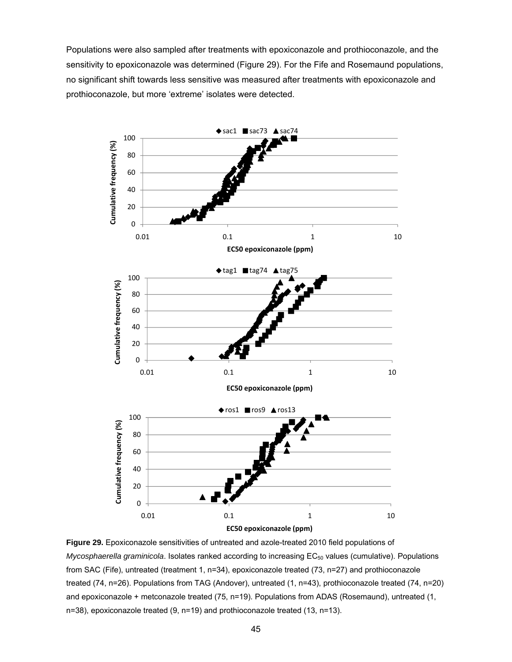Populations were also sampled after treatments with epoxiconazole and prothioconazole, and the sensitivity to epoxiconazole was determined (Figure 29). For the Fife and Rosemaund populations, no significant shift towards less sensitive was measured after treatments with epoxiconazole and prothioconazole, but more 'extreme' isolates were detected.



**Figure 29.** Epoxiconazole sensitivities of untreated and azole-treated 2010 field populations of *Mycosphaerella graminicola*. Isolates ranked according to increasing EC<sub>50</sub> values (cumulative). Populations from SAC (Fife), untreated (treatment 1, n=34), epoxiconazole treated (73, n=27) and prothioconazole treated (74, n=26). Populations from TAG (Andover), untreated (1, n=43), prothioconazole treated (74, n=20) and epoxiconazole + metconazole treated (75, n=19). Populations from ADAS (Rosemaund), untreated (1, n=38), epoxiconazole treated (9, n=19) and prothioconazole treated (13, n=13).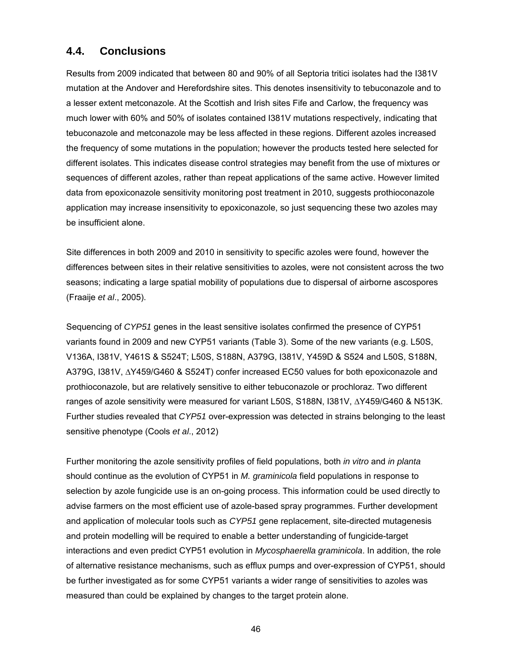### **4.4. Conclusions**

Results from 2009 indicated that between 80 and 90% of all Septoria tritici isolates had the I381V mutation at the Andover and Herefordshire sites. This denotes insensitivity to tebuconazole and to a lesser extent metconazole. At the Scottish and Irish sites Fife and Carlow, the frequency was much lower with 60% and 50% of isolates contained I381V mutations respectively, indicating that tebuconazole and metconazole may be less affected in these regions. Different azoles increased the frequency of some mutations in the population; however the products tested here selected for different isolates. This indicates disease control strategies may benefit from the use of mixtures or sequences of different azoles, rather than repeat applications of the same active. However limited data from epoxiconazole sensitivity monitoring post treatment in 2010, suggests prothioconazole application may increase insensitivity to epoxiconazole, so just sequencing these two azoles may be insufficient alone.

Site differences in both 2009 and 2010 in sensitivity to specific azoles were found, however the differences between sites in their relative sensitivities to azoles, were not consistent across the two seasons; indicating a large spatial mobility of populations due to dispersal of airborne ascospores (Fraaije *et al*., 2005).

Sequencing of *CYP51* genes in the least sensitive isolates confirmed the presence of CYP51 variants found in 2009 and new CYP51 variants (Table 3). Some of the new variants (e.g. L50S, V136A, I381V, Y461S & S524T; L50S, S188N, A379G, I381V, Y459D & S524 and L50S, S188N, A379G, I381V, ∆Y459/G460 & S524T) confer increased EC50 values for both epoxiconazole and prothioconazole, but are relatively sensitive to either tebuconazole or prochloraz. Two different ranges of azole sensitivity were measured for variant L50S, S188N, I381V, ∆Y459/G460 & N513K. Further studies revealed that *CYP51* over-expression was detected in strains belonging to the least sensitive phenotype (Cools *et al*., 2012)

Further monitoring the azole sensitivity profiles of field populations, both *in vitro* and *in planta* should continue as the evolution of CYP51 in *M. graminicola* field populations in response to selection by azole fungicide use is an on-going process. This information could be used directly to advise farmers on the most efficient use of azole-based spray programmes. Further development and application of molecular tools such as *CYP51* gene replacement, site-directed mutagenesis and protein modelling will be required to enable a better understanding of fungicide-target interactions and even predict CYP51 evolution in *Mycosphaerella graminicola*. In addition, the role of alternative resistance mechanisms, such as efflux pumps and over-expression of CYP51, should be further investigated as for some CYP51 variants a wider range of sensitivities to azoles was measured than could be explained by changes to the target protein alone.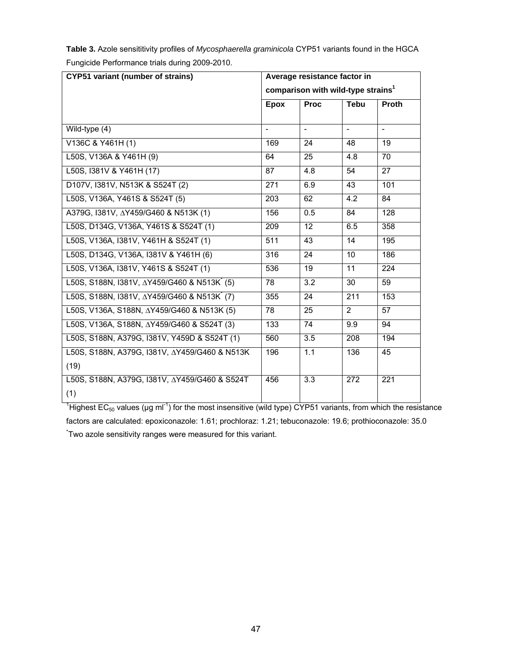| <b>CYP51 variant (number of strains)</b> | Average resistance factor in<br>comparison with wild-type strains <sup>1</sup> |                          |             |                          |
|------------------------------------------|--------------------------------------------------------------------------------|--------------------------|-------------|--------------------------|
|                                          | <b>Epox</b>                                                                    | <b>Proc</b>              | <b>Tebu</b> | <b>Proth</b>             |
| Wild-type (4)                            | $\overline{\phantom{a}}$                                                       | $\overline{\phantom{a}}$ |             | $\overline{\phantom{a}}$ |
| V136C & Y461H (1)                        | 169                                                                            | 24                       | 48          | 19                       |
| L50S, V136A & Y461H (9)                  | 64                                                                             | 25                       | 4.8         | 70                       |
| L50S, I381V & Y461H (17)                 | 87                                                                             | 4.8                      | 54          | 27                       |
| D107V, I381V, N513K & S524T (2)          | 271                                                                            | 6.9                      | 43          | 101                      |
| L50S, V136A, Y461S & S524T (5)           | 203                                                                            | 62                       | 4.2         | 84                       |
| A379G, I381V, ∆Y459/G460 & N513K (1)     | 156                                                                            | 0.5                      | 84          | 128                      |
| L50S, D134G, V136A, Y461S & S524T (1)    | 209                                                                            | $12 \overline{ }$        | 6.5         | 358                      |
| L50S, V136A, I381V, Y461H & S524T (1)    | 511                                                                            | 43                       | 14          | 195                      |
| L50S, D134G, V136A, I381V & Y461H (6)    | 316                                                                            | 24                       | 10          | 186                      |
| L50S, V136A, I381V, Y461S & S524T (1)    | 536                                                                            | 19                       | 11          | 224                      |

L50S, V136A, S188N, ΔY459/G460 & N513K (5) 78 25 2 57 L50S, V136A, S188N, ∆Y459/G460 & S524T (3) 133 74 9.9 94 L50S, S188N, A379G, I381V, Y459D & S524T (1) 560 3.5 208 194

L50S, S188N, I381V, ∆Y459/G460 & N513K\*

L50S, S188N, I381V, ∆Y459/G460 & N513K (7)

L50S, S188N, A379G, I381V, ∆Y459/G460 & N513K

L50S, S188N, A379G, I381V, ∆Y459/G460 & S524T

(19)

(1)

**Table 3.** Azole sensititivity profiles of *Mycosphaerella graminicola* CYP51 variants found in the HGCA Fungicide Performance trials during 2009-2010.

<sup>1</sup>Highest EC<sub>50</sub> values (µg ml<sup>-1</sup>) for the most insensitive (wild type) CYP51 variants, from which the resistance factors are calculated: epoxiconazole: 1.61; prochloraz: 1.21; tebuconazole: 19.6; prothioconazole: 35.0 \* Two azole sensitivity ranges were measured for this variant.

 $(5)$  | 78 | 3.2 | 30 | 59

 $(7)$  | 355 | 24 | 211 | 153

196 1.1 136 45

456 3.3 272 221